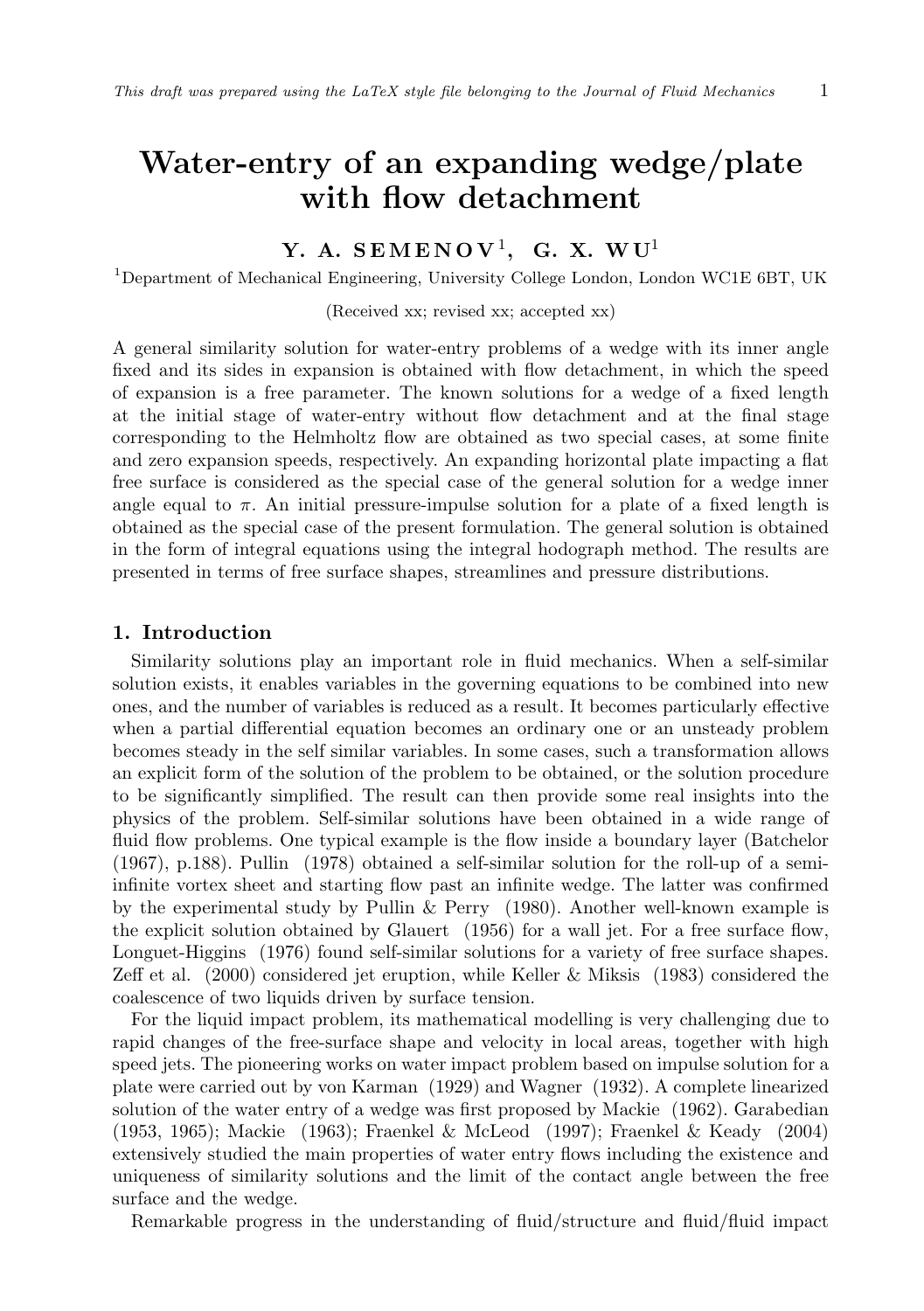# **Water-entry of an expanding wedge/plate with flow detachment**

## **Y. A. S EM E N O V** <sup>1</sup> **, G. X. W U**<sup>1</sup>

<sup>1</sup>Department of Mechanical Engineering, University College London, London WC1E 6BT, UK

(Received xx; revised xx; accepted xx)

A general similarity solution for water-entry problems of a wedge with its inner angle fixed and its sides in expansion is obtained with flow detachment, in which the speed of expansion is a free parameter. The known solutions for a wedge of a fixed length at the initial stage of water-entry without flow detachment and at the final stage corresponding to the Helmholtz flow are obtained as two special cases, at some finite and zero expansion speeds, respectively. An expanding horizontal plate impacting a flat free surface is considered as the special case of the general solution for a wedge inner angle equal to  $\pi$ . An initial pressure-impulse solution for a plate of a fixed length is obtained as the special case of the present formulation. The general solution is obtained in the form of integral equations using the integral hodograph method. The results are presented in terms of free surface shapes, streamlines and pressure distributions.

## **1. Introduction**

Similarity solutions play an important role in fluid mechanics. When a self-similar solution exists, it enables variables in the governing equations to be combined into new ones, and the number of variables is reduced as a result. It becomes particularly effective when a partial differential equation becomes an ordinary one or an unsteady problem becomes steady in the self similar variables. In some cases, such a transformation allows an explicit form of the solution of the problem to be obtained, or the solution procedure to be significantly simplified. The result can then provide some real insights into the physics of the problem. Self-similar solutions have been obtained in a wide range of fluid flow problems. One typical example is the flow inside a boundary layer (Batchelor (1967), p.188). Pullin (1978) obtained a self-similar solution for the roll-up of a semiinfinite vortex sheet and starting flow past an infinite wedge. The latter was confirmed by the experimental study by Pullin & Perry (1980). Another well-known example is the explicit solution obtained by Glauert (1956) for a wall jet. For a free surface flow, Longuet-Higgins (1976) found self-similar solutions for a variety of free surface shapes. Zeff et al. (2000) considered jet eruption, while Keller & Miksis (1983) considered the coalescence of two liquids driven by surface tension.

For the liquid impact problem, its mathematical modelling is very challenging due to rapid changes of the free-surface shape and velocity in local areas, together with high speed jets. The pioneering works on water impact problem based on impulse solution for a plate were carried out by von Karman (1929) and Wagner (1932). A complete linearized solution of the water entry of a wedge was first proposed by Mackie (1962). Garabedian (1953, 1965); Mackie (1963); Fraenkel & McLeod (1997); Fraenkel & Keady (2004) extensively studied the main properties of water entry flows including the existence and uniqueness of similarity solutions and the limit of the contact angle between the free surface and the wedge.

Remarkable progress in the understanding of fluid/structure and fluid/fluid impact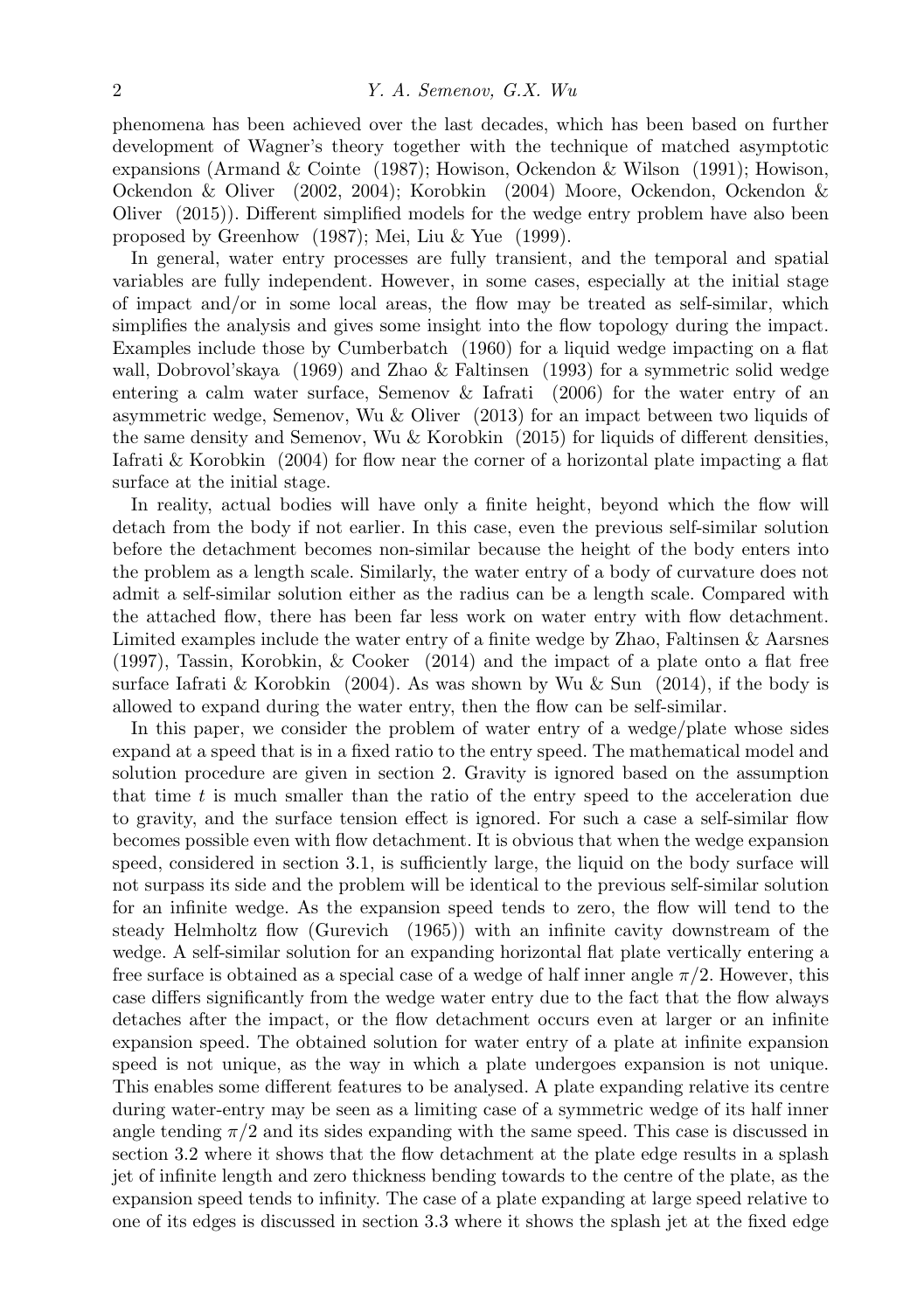phenomena has been achieved over the last decades, which has been based on further development of Wagner's theory together with the technique of matched asymptotic expansions (Armand & Cointe (1987); Howison, Ockendon & Wilson (1991); Howison, Ockendon & Oliver (2002, 2004); Korobkin (2004) Moore, Ockendon, Ockendon & Oliver (2015)). Different simplified models for the wedge entry problem have also been proposed by Greenhow (1987); Mei, Liu & Yue (1999).

In general, water entry processes are fully transient, and the temporal and spatial variables are fully independent. However, in some cases, especially at the initial stage of impact and/or in some local areas, the flow may be treated as self-similar, which simplifies the analysis and gives some insight into the flow topology during the impact. Examples include those by Cumberbatch (1960) for a liquid wedge impacting on a flat wall, Dobrovol'skaya (1969) and Zhao & Faltinsen (1993) for a symmetric solid wedge entering a calm water surface, Semenov & Iafrati (2006) for the water entry of an asymmetric wedge, Semenov, Wu & Oliver (2013) for an impact between two liquids of the same density and Semenov, Wu & Korobkin (2015) for liquids of different densities, Iafrati & Korobkin (2004) for flow near the corner of a horizontal plate impacting a flat surface at the initial stage.

In reality, actual bodies will have only a finite height, beyond which the flow will detach from the body if not earlier. In this case, even the previous self-similar solution before the detachment becomes non-similar because the height of the body enters into the problem as a length scale. Similarly, the water entry of a body of curvature does not admit a self-similar solution either as the radius can be a length scale. Compared with the attached flow, there has been far less work on water entry with flow detachment. Limited examples include the water entry of a finite wedge by Zhao, Faltinsen & Aarsnes (1997), Tassin, Korobkin, & Cooker (2014) and the impact of a plate onto a flat free surface Iafrati & Korobkin (2004). As was shown by Wu & Sun (2014), if the body is allowed to expand during the water entry, then the flow can be self-similar.

In this paper, we consider the problem of water entry of a wedge/plate whose sides expand at a speed that is in a fixed ratio to the entry speed. The mathematical model and solution procedure are given in section 2. Gravity is ignored based on the assumption that time *t* is much smaller than the ratio of the entry speed to the acceleration due to gravity, and the surface tension effect is ignored. For such a case a self-similar flow becomes possible even with flow detachment. It is obvious that when the wedge expansion speed, considered in section 3.1, is sufficiently large, the liquid on the body surface will not surpass its side and the problem will be identical to the previous self-similar solution for an infinite wedge. As the expansion speed tends to zero, the flow will tend to the steady Helmholtz flow (Gurevich (1965)) with an infinite cavity downstream of the wedge. A self-similar solution for an expanding horizontal flat plate vertically entering a free surface is obtained as a special case of a wedge of half inner angle *π/*2. However, this case differs significantly from the wedge water entry due to the fact that the flow always detaches after the impact, or the flow detachment occurs even at larger or an infinite expansion speed. The obtained solution for water entry of a plate at infinite expansion speed is not unique, as the way in which a plate undergoes expansion is not unique. This enables some different features to be analysed. A plate expanding relative its centre during water-entry may be seen as a limiting case of a symmetric wedge of its half inner angle tending  $\pi/2$  and its sides expanding with the same speed. This case is discussed in section 3.2 where it shows that the flow detachment at the plate edge results in a splash jet of infinite length and zero thickness bending towards to the centre of the plate, as the expansion speed tends to infinity. The case of a plate expanding at large speed relative to one of its edges is discussed in section 3.3 where it shows the splash jet at the fixed edge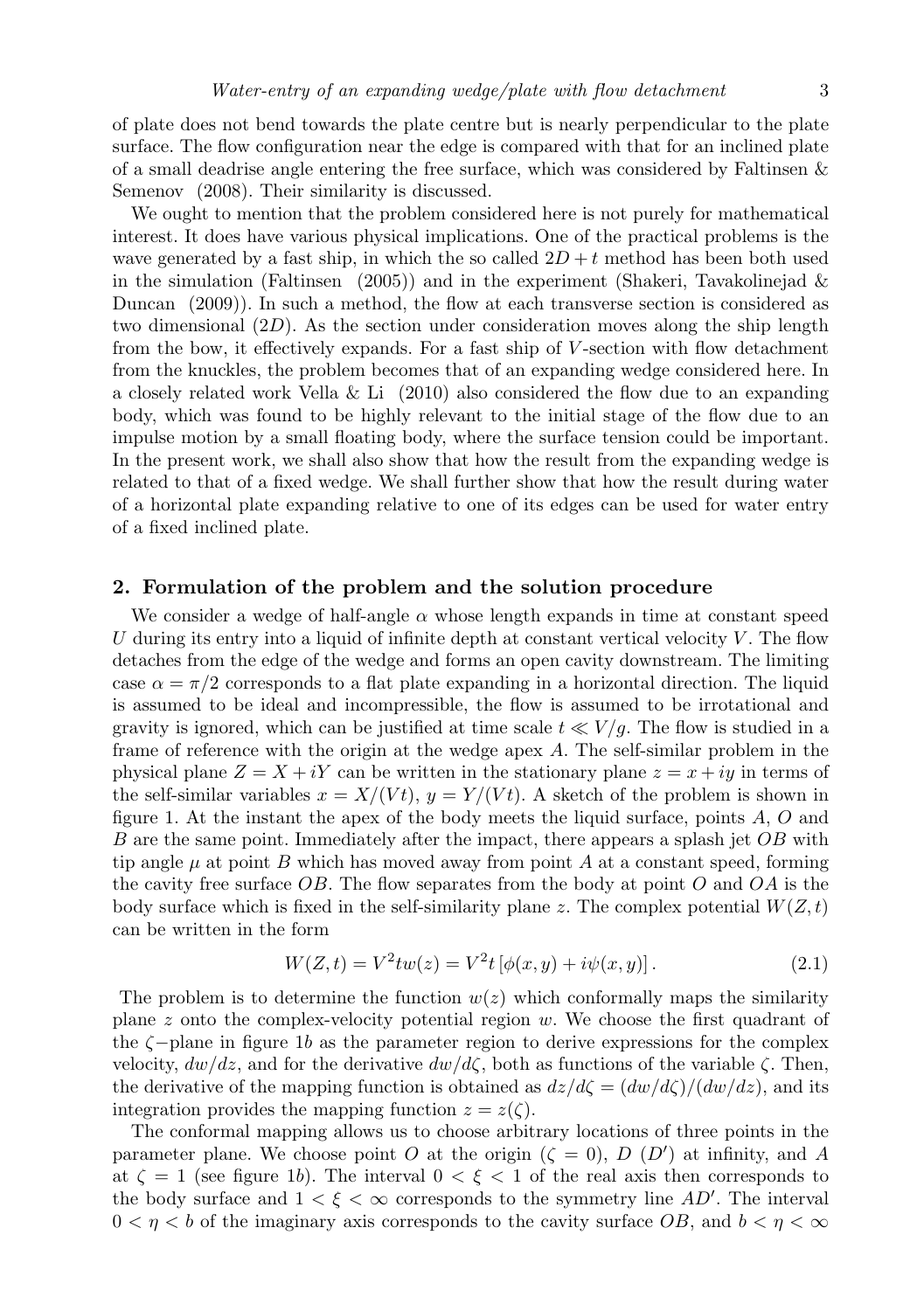of plate does not bend towards the plate centre but is nearly perpendicular to the plate surface. The flow configuration near the edge is compared with that for an inclined plate of a small deadrise angle entering the free surface, which was considered by Faltinsen  $\&$ Semenov (2008). Their similarity is discussed.

We ought to mention that the problem considered here is not purely for mathematical interest. It does have various physical implications. One of the practical problems is the wave generated by a fast ship, in which the so called  $2D + t$  method has been both used in the simulation (Faltinsen (2005)) and in the experiment (Shakeri, Tavakolinejad  $\&$ Duncan (2009)). In such a method, the flow at each transverse section is considered as two dimensional (2*D*). As the section under consideration moves along the ship length from the bow, it effectively expands. For a fast ship of *V* -section with flow detachment from the knuckles, the problem becomes that of an expanding wedge considered here. In a closely related work Vella & Li (2010) also considered the flow due to an expanding body, which was found to be highly relevant to the initial stage of the flow due to an impulse motion by a small floating body, where the surface tension could be important. In the present work, we shall also show that how the result from the expanding wedge is related to that of a fixed wedge. We shall further show that how the result during water of a horizontal plate expanding relative to one of its edges can be used for water entry of a fixed inclined plate.

#### **2. Formulation of the problem and the solution procedure**

We consider a wedge of half-angle  $\alpha$  whose length expands in time at constant speed *U* during its entry into a liquid of infinite depth at constant vertical velocity *V* . The flow detaches from the edge of the wedge and forms an open cavity downstream. The limiting case  $\alpha = \pi/2$  corresponds to a flat plate expanding in a horizontal direction. The liquid is assumed to be ideal and incompressible, the flow is assumed to be irrotational and gravity is ignored, which can be justified at time scale  $t \ll V/g$ . The flow is studied in a frame of reference with the origin at the wedge apex *A*. The self-similar problem in the physical plane  $Z = X + iY$  can be written in the stationary plane  $z = x + iy$  in terms of the self-similar variables  $x = X/(Vt)$ ,  $y = Y/(Vt)$ . A sketch of the problem is shown in figure 1. At the instant the apex of the body meets the liquid surface, points *A*, *O* and *B* are the same point. Immediately after the impact, there appears a splash jet *OB* with tip angle  $\mu$  at point *B* which has moved away from point *A* at a constant speed, forming the cavity free surface *OB*. The flow separates from the body at point *O* and *OA* is the body surface which is fixed in the self-similarity plane *z*. The complex potential  $W(Z, t)$ can be written in the form

$$
W(Z,t) = V^2 t w(z) = V^2 t [\phi(x,y) + i\psi(x,y)].
$$
\n(2.1)

The problem is to determine the function  $w(z)$  which conformally maps the similarity plane *z* onto the complex-velocity potential region *w*. We choose the first quadrant of the *ζ−*plane in figure 1*b* as the parameter region to derive expressions for the complex velocity, *dw/dz*, and for the derivative *dw/dζ*, both as functions of the variable *ζ*. Then, the derivative of the mapping function is obtained as  $dz/d\zeta = (dw/d\zeta)/(dw/dz)$ , and its integration provides the mapping function  $z = z(\zeta)$ .

The conformal mapping allows us to choose arbitrary locations of three points in the parameter plane. We choose point *O* at the origin  $(\zeta = 0)$ , *D* (*D'*) at infinity, and *A* at  $\zeta = 1$  (see figure 1*b*). The interval  $0 \leq \xi \leq 1$  of the real axis then corresponds to the body surface and  $1 < \xi < \infty$  corresponds to the symmetry line *AD'*. The interval  $0 < \eta < b$  of the imaginary axis corresponds to the cavity surface *OB*, and  $b < \eta < \infty$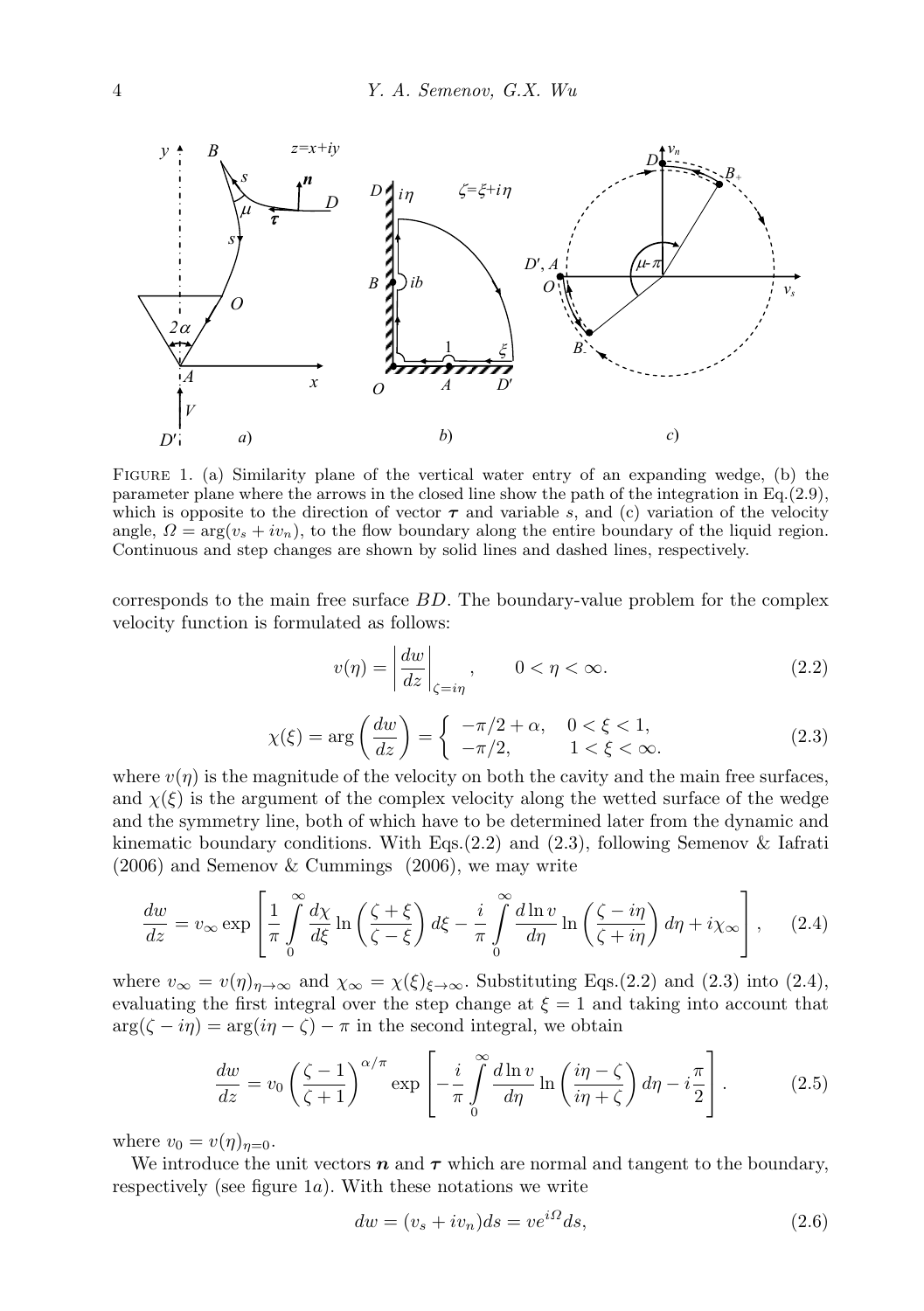

Figure 1. (a) Similarity plane of the vertical water entry of an expanding wedge, (b) the parameter plane where the arrows in the closed line show the path of the integration in Eq.(2.9), which is opposite to the direction of vector  $\tau$  and variable *s*, and (c) variation of the velocity angle,  $\Omega = \arg(v_s + iv_n)$ , to the flow boundary along the entire boundary of the liquid region. Continuous and step changes are shown by solid lines and dashed lines, respectively.

corresponds to the main free surface *BD*. The boundary-value problem for the complex velocity function is formulated as follows:

$$
v(\eta) = \left| \frac{dw}{dz} \right|_{\zeta = i\eta}, \qquad 0 < \eta < \infty. \tag{2.2}
$$

$$
\chi(\xi) = \arg\left(\frac{dw}{dz}\right) = \begin{cases}\n-\pi/2 + \alpha, & 0 < \xi < 1, \\
-\pi/2, & 1 < \xi < \infty.\n\end{cases}
$$
\n(2.3)

where  $v(n)$  is the magnitude of the velocity on both the cavity and the main free surfaces, and  $\chi(\xi)$  is the argument of the complex velocity along the wetted surface of the wedge and the symmetry line, both of which have to be determined later from the dynamic and kinematic boundary conditions. With Eqs. $(2.2)$  and  $(2.3)$ , following Semenov & Iafrati (2006) and Semenov & Cummings (2006), we may write

$$
\frac{dw}{dz} = v_{\infty} \exp\left[\frac{1}{\pi} \int_{0}^{\infty} \frac{d\chi}{d\xi} \ln\left(\frac{\zeta + \xi}{\zeta - \xi}\right) d\xi - \frac{i}{\pi} \int_{0}^{\infty} \frac{d\ln v}{d\eta} \ln\left(\frac{\zeta - i\eta}{\zeta + i\eta}\right) d\eta + i\chi_{\infty}\right],
$$
 (2.4)

where  $v_{\infty} = v(\eta)_{\eta \to \infty}$  and  $\chi_{\infty} = \chi(\xi)_{\xi \to \infty}$ . Substituting Eqs.(2.2) and (2.3) into (2.4), evaluating the first integral over the step change at  $\xi = 1$  and taking into account that  $\arg(\zeta - i\eta) = \arg(i\eta - \zeta) - \pi$  in the second integral, we obtain

$$
\frac{dw}{dz} = v_0 \left(\frac{\zeta - 1}{\zeta + 1}\right)^{\alpha/\pi} \exp\left[-\frac{i}{\pi} \int_0^\infty \frac{d\ln v}{d\eta} \ln\left(\frac{i\eta - \zeta}{i\eta + \zeta}\right) d\eta - i\frac{\pi}{2}\right].\tag{2.5}
$$

where  $v_0 = v(\eta)_{\eta=0}$ .

We introduce the unit vectors  $n$  and  $\tau$  which are normal and tangent to the boundary, respectively (see figure 1*a*). With these notations we write

$$
dw = (v_s + iv_n)ds = ve^{i\Omega}ds,\t\t(2.6)
$$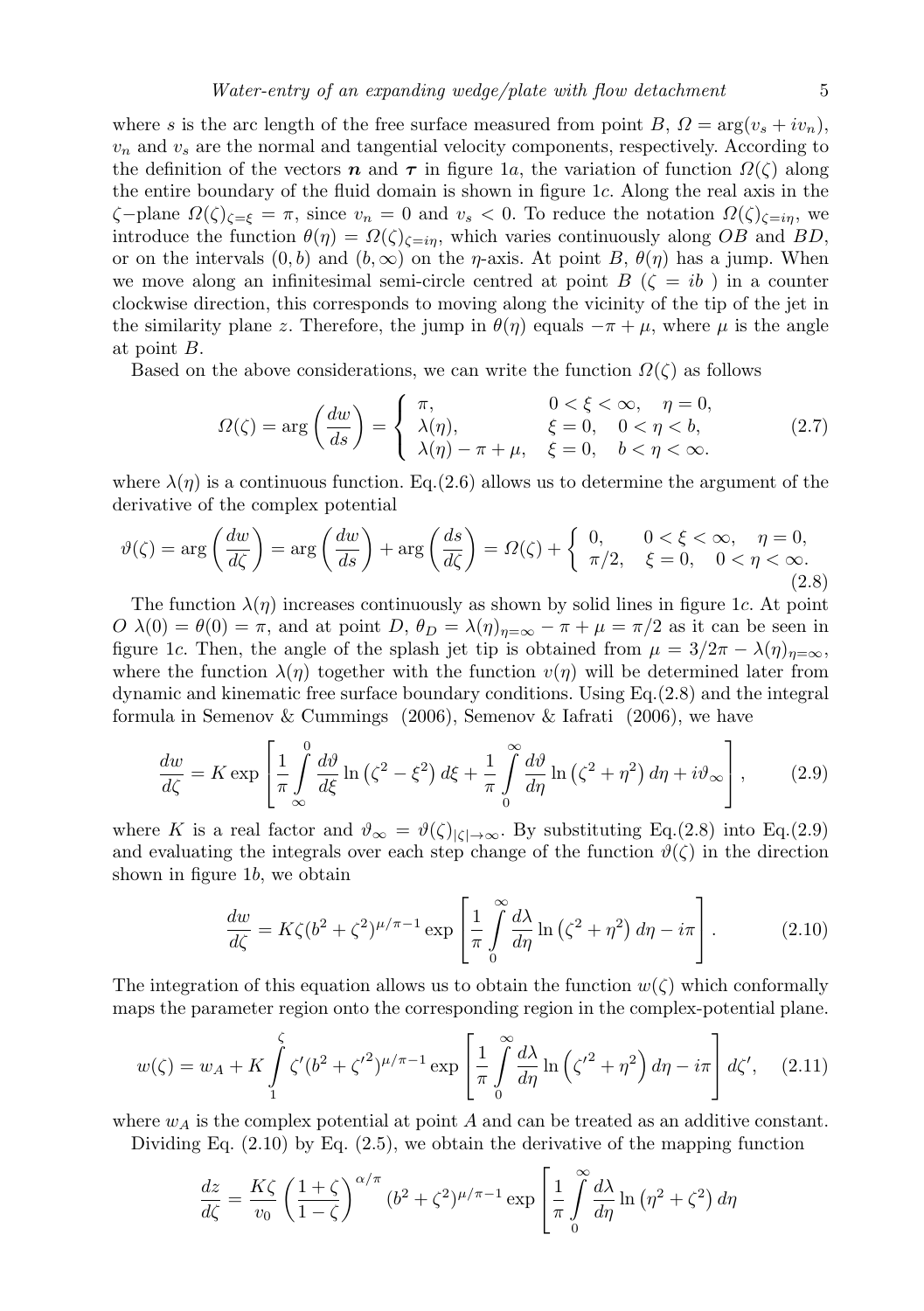where *s* is the arc length of the free surface measured from point *B*,  $\Omega = \arg(v_s + iv_n)$ ,  $v_n$  and  $v_s$  are the normal and tangential velocity components, respectively. According to the definition of the vectors *n* and  $\tau$  in figure 1*a*, the variation of function  $\Omega(\zeta)$  along the entire boundary of the fluid domain is shown in figure 1*c*. Along the real axis in the *ζ−*plane *Ω*(*ζ*)*ζ*=*<sup>ξ</sup>* = *π*, since *v<sup>n</sup>* = 0 and *v<sup>s</sup> <* 0. To reduce the notation *Ω*(*ζ*)*ζ*=*iη*, we introduce the function  $\theta(\eta) = \Omega(\zeta)_{\zeta=i\eta}$ , which varies continuously along *OB* and *BD*, or on the intervals  $(0, b)$  and  $(b, \infty)$  on the *η*-axis. At point *B*,  $\theta(\eta)$  has a jump. When we move along an infinitesimal semi-circle centred at point *B* ( $\zeta = ib$ ) in a counter clockwise direction, this corresponds to moving along the vicinity of the tip of the jet in the similarity plane *z*. Therefore, the jump in  $\theta(\eta)$  equals  $-\pi + \mu$ , where  $\mu$  is the angle at point *B*.

Based on the above considerations, we can write the function  $\Omega(\zeta)$  as follows

$$
\Omega(\zeta) = \arg\left(\frac{dw}{ds}\right) = \begin{cases} \pi, & 0 < \xi < \infty, \quad \eta = 0, \\ \lambda(\eta), & \xi = 0, \quad 0 < \eta < b, \\ \lambda(\eta) - \pi + \mu, & \xi = 0, \quad b < \eta < \infty. \end{cases} \tag{2.7}
$$

where  $\lambda(\eta)$  is a continuous function. Eq.(2.6) allows us to determine the argument of the derivative of the complex potential

$$
\vartheta(\zeta) = \arg\left(\frac{dw}{d\zeta}\right) = \arg\left(\frac{dw}{ds}\right) + \arg\left(\frac{ds}{d\zeta}\right) = \Omega(\zeta) + \begin{cases} 0, & 0 < \xi < \infty, \quad \eta = 0, \\ \pi/2, & \xi = 0, \quad 0 < \eta < \infty. \end{cases} \tag{2.8}
$$

The function  $\lambda(\eta)$  increases continuously as shown by solid lines in figure 1*c*. At point *O*  $\lambda$ (0) =  $\theta$ (0) =  $\pi$ , and at point *D*,  $\theta$ *D* =  $\lambda$ (*η*)*<sub>n*=∞</sub> -  $\pi$  +  $\mu$  =  $\pi/2$  as it can be seen in figure 1*c*. Then, the angle of the splash jet tip is obtained from  $\mu = 3/2\pi - \lambda(\eta)_{\eta=\infty}$ , where the function  $\lambda(\eta)$  together with the function  $v(\eta)$  will be determined later from dynamic and kinematic free surface boundary conditions. Using Eq.(2.8) and the integral formula in Semenov & Cummings (2006), Semenov & Iafrati (2006), we have

$$
\frac{dw}{d\zeta} = K \exp\left[\frac{1}{\pi} \int_{-\infty}^{0} \frac{d\vartheta}{d\xi} \ln\left(\zeta^2 - \xi^2\right) d\xi + \frac{1}{\pi} \int_{0}^{\infty} \frac{d\vartheta}{d\eta} \ln\left(\zeta^2 + \eta^2\right) d\eta + i\vartheta_{\infty}\right],\tag{2.9}
$$

where *K* is a real factor and  $\vartheta_{\infty} = \vartheta(\zeta)|_{\zeta \to \infty}$ . By substituting Eq.(2.8) into Eq.(2.9) and evaluating the integrals over each step change of the function  $\vartheta(\zeta)$  in the direction shown in figure 1*b*, we obtain

$$
\frac{dw}{d\zeta} = K\zeta (b^2 + \zeta^2)^{\mu/\pi - 1} \exp\left[\frac{1}{\pi} \int_0^\infty \frac{d\lambda}{d\eta} \ln\left(\zeta^2 + \eta^2\right) d\eta - i\pi\right].\tag{2.10}
$$

The integration of this equation allows us to obtain the function  $w(\zeta)$  which conformally maps the parameter region onto the corresponding region in the complex-potential plane.

$$
w(\zeta) = w_A + K \int_{1}^{\zeta} \zeta'(b^2 + \zeta'^2)^{\mu/\pi - 1} \exp\left[\frac{1}{\pi} \int_{0}^{\infty} \frac{d\lambda}{d\eta} \ln\left(\zeta'^2 + \eta^2\right) d\eta - i\pi\right] d\zeta', \quad (2.11)
$$

where  $w_A$  is the complex potential at point  $A$  and can be treated as an additive constant.

Dividing Eq.  $(2.10)$  by Eq.  $(2.5)$ , we obtain the derivative of the mapping function

$$
\frac{dz}{d\zeta} = \frac{K\zeta}{v_0} \left(\frac{1+\zeta}{1-\zeta}\right)^{\alpha/\pi} (b^2 + \zeta^2)^{\mu/\pi - 1} \exp\left[\frac{1}{\pi} \int_0^\infty \frac{d\lambda}{d\eta} \ln(\eta^2 + \zeta^2) d\eta\right]
$$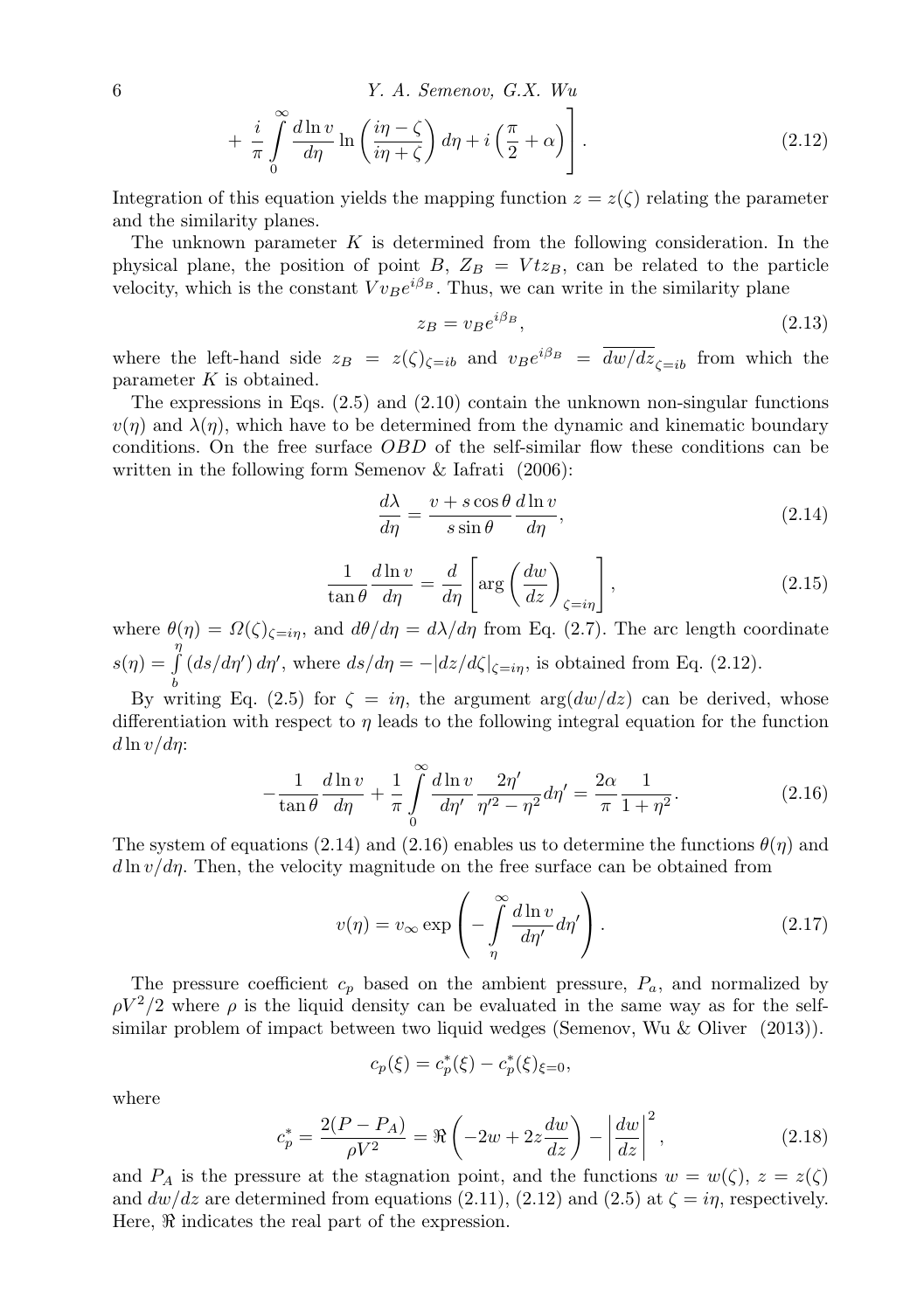6  
\n
$$
Y. A. Semenov, G.X. Wu
$$
\n
$$
+ \frac{i}{\pi} \int_{0}^{\infty} \frac{d \ln v}{d \eta} \ln \left( \frac{i\eta - \zeta}{i\eta + \zeta} \right) d\eta + i \left( \frac{\pi}{2} + \alpha \right) . \tag{2.12}
$$

Integration of this equation yields the mapping function  $z = z(\zeta)$  relating the parameter and the similarity planes.

The unknown parameter *K* is determined from the following consideration. In the physical plane, the position of point *B*,  $Z_B = V t z_B$ , can be related to the particle velocity, which is the constant  $V v_B e^{i\beta_B}$ . Thus, we can write in the similarity plane

$$
z_B = v_B e^{i\beta_B},\tag{2.13}
$$

where the left-hand side  $z_B = z(\zeta)_{\zeta = ib}$  and  $v_B e^{i\beta_B} = dw/dz_{\zeta = ib}$  from which the parameter *K* is obtained.

The expressions in Eqs.  $(2.5)$  and  $(2.10)$  contain the unknown non-singular functions  $v(\eta)$  and  $\lambda(\eta)$ , which have to be determined from the dynamic and kinematic boundary conditions. On the free surface *OBD* of the self-similar flow these conditions can be written in the following form Semenov & Iafrati (2006):

$$
\frac{d\lambda}{d\eta} = \frac{v + s\cos\theta}{s\sin\theta} \frac{d\ln v}{d\eta},\tag{2.14}
$$

$$
\frac{1}{\tan \theta} \frac{d \ln v}{d \eta} = \frac{d}{d \eta} \left[ \arg \left( \frac{d w}{d z} \right)_{\zeta = i \eta} \right],\tag{2.15}
$$

where  $\theta(\eta) = \Omega(\zeta)_{\zeta=i\eta}$ , and  $d\theta/d\eta = d\lambda/d\eta$  from Eq. (2.7). The arc length coordinate  $s(\eta) =$ *η* ∫ *b*  $(ds/d\eta') d\eta'$ , where  $ds/d\eta = -|dz/d\zeta|_{\zeta=i\eta}$ , is obtained from Eq. (2.12).

By writing Eq. (2.5) for  $\zeta = i\eta$ , the argument  $\arg(du/dz)$  can be derived, whose differentiation with respect to *η* leads to the following integral equation for the function *d* ln *v/dη*:

$$
-\frac{1}{\tan\theta}\frac{d\ln v}{d\eta} + \frac{1}{\pi} \int_{0}^{\infty} \frac{d\ln v}{d\eta'} \frac{2\eta'}{\eta'^2 - \eta^2} d\eta' = \frac{2\alpha}{\pi} \frac{1}{1 + \eta^2}.
$$
 (2.16)

The system of equations (2.14) and (2.16) enables us to determine the functions  $\theta(\eta)$  and  $d \ln v/d\eta$ . Then, the velocity magnitude on the free surface can be obtained from

$$
v(\eta) = v_{\infty} \exp\left(-\int\limits_{\eta}^{\infty} \frac{d\ln v}{d\eta'} d\eta'\right).
$$
 (2.17)

The pressure coefficient  $c_p$  based on the ambient pressure,  $P_a$ , and normalized by  $\rho V^2/2$  where  $\rho$  is the liquid density can be evaluated in the same way as for the selfsimilar problem of impact between two liquid wedges (Semenov, Wu & Oliver (2013)).

$$
c_p(\xi) = c_p^*(\xi) - c_p^*(\xi)_{\xi=0},
$$

where

$$
c_p^* = \frac{2(P - P_A)}{\rho V^2} = \Re\left(-2w + 2z\frac{dw}{dz}\right) - \left|\frac{dw}{dz}\right|^2,
$$
 (2.18)

and *P<sub>A</sub>* is the pressure at the stagnation point, and the functions  $w = w(\zeta), z = z(\zeta)$ and  $dw/dz$  are determined from equations (2.11), (2.12) and (2.5) at  $\zeta = i\eta$ , respectively. Here,  $\Re$  indicates the real part of the expression.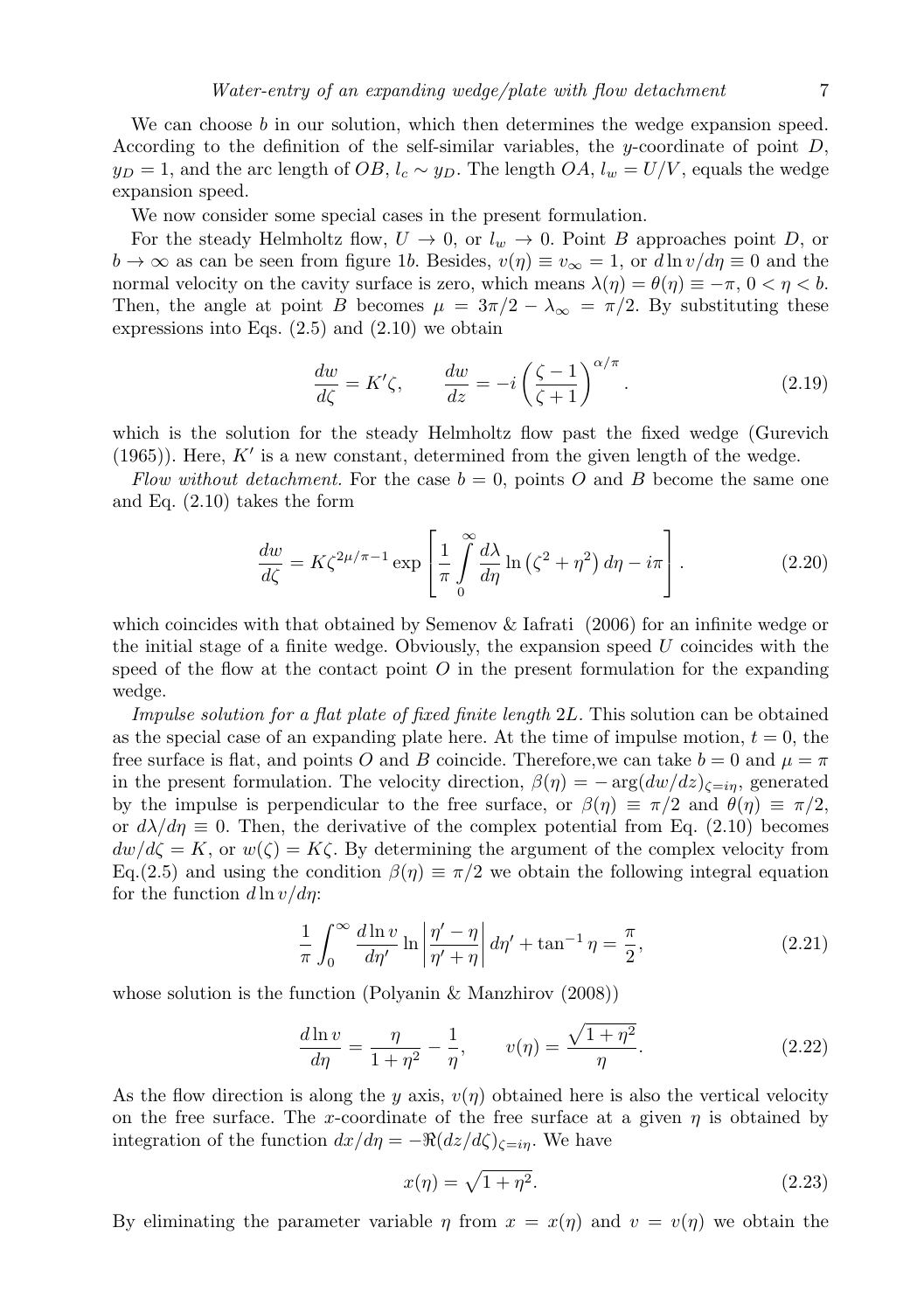We can choose *b* in our solution, which then determines the wedge expansion speed. According to the definition of the self-similar variables, the *y*-coordinate of point *D*,  $y_D = 1$ , and the arc length of *OB*,  $l_c \sim y_D$ . The length *OA*,  $l_w = U/V$ , equals the wedge expansion speed.

We now consider some special cases in the present formulation.

For the steady Helmholtz flow,  $U \rightarrow 0$ , or  $l_w \rightarrow 0$ . Point *B* approaches point *D*, or  $b \to \infty$  as can be seen from figure 1*b*. Besides,  $v(\eta) \equiv v_{\infty} = 1$ , or  $d \ln v / d\eta \equiv 0$  and the normal velocity on the cavity surface is zero, which means  $\lambda(\eta) = \theta(\eta) \equiv -\pi$ ,  $0 < \eta < b$ . Then, the angle at point *B* becomes  $\mu = 3\pi/2 - \lambda_{\infty} = \pi/2$ . By substituting these expressions into Eqs.  $(2.5)$  and  $(2.10)$  we obtain

$$
\frac{dw}{d\zeta} = K'\zeta, \qquad \frac{dw}{dz} = -i\left(\frac{\zeta - 1}{\zeta + 1}\right)^{\alpha/\pi}.\tag{2.19}
$$

which is the solution for the steady Helmholtz flow past the fixed wedge (Gurevich (1965)). Here, *K′* is a new constant, determined from the given length of the wedge.

*Flow without detachment.* For the case  $b = 0$ , points O and B become the same one and Eq. (2.10) takes the form

$$
\frac{dw}{d\zeta} = K\zeta^{2\mu/\pi - 1} \exp\left[\frac{1}{\pi} \int\limits_{0}^{\infty} \frac{d\lambda}{d\eta} \ln\left(\zeta^2 + \eta^2\right) d\eta - i\pi\right].
$$
\n(2.20)

which coincides with that obtained by Semenov & Iafrati (2006) for an infinite wedge or the initial stage of a finite wedge. Obviously, the expansion speed *U* coincides with the speed of the flow at the contact point *O* in the present formulation for the expanding wedge.

*Impulse solution for a flat plate of fixed finite length* 2*L.* This solution can be obtained as the special case of an expanding plate here. At the time of impulse motion,  $t = 0$ , the free surface is flat, and points *O* and *B* coincide. Therefore, we can take  $b = 0$  and  $\mu = \pi$ in the present formulation. The velocity direction,  $\beta(\eta) = -\arg(dw/dz)_{\zeta=i\eta}$ , generated by the impulse is perpendicular to the free surface, or  $\beta(\eta) \equiv \pi/2$  and  $\theta(\eta) \equiv \pi/2$ , or  $d\lambda/d\eta \equiv 0$ . Then, the derivative of the complex potential from Eq. (2.10) becomes  $dw/d\zeta = K$ , or  $w(\zeta) = K\zeta$ . By determining the argument of the complex velocity from Eq.(2.5) and using the condition  $\beta(\eta) \equiv \pi/2$  we obtain the following integral equation for the function *d* ln *v/dη*:

$$
\frac{1}{\pi} \int_0^\infty \frac{d \ln v}{d \eta'} \ln \left| \frac{\eta' - \eta}{\eta' + \eta} \right| d\eta' + \tan^{-1} \eta = \frac{\pi}{2},\tag{2.21}
$$

whose solution is the function (Polyanin & Manzhirov (2008))

$$
\frac{d\ln v}{d\eta} = \frac{\eta}{1+\eta^2} - \frac{1}{\eta}, \qquad v(\eta) = \frac{\sqrt{1+\eta^2}}{\eta}.
$$
 (2.22)

As the flow direction is along the *y* axis,  $v(\eta)$  obtained here is also the vertical velocity on the free surface. The *x*-coordinate of the free surface at a given  $\eta$  is obtained by integration of the function  $dx/d\eta = -\Re(dz/d\zeta)_{\zeta=i\eta}$ . We have

$$
x(\eta) = \sqrt{1 + \eta^2}.\tag{2.23}
$$

By eliminating the parameter variable *η* from  $x = x(\eta)$  and  $v = v(\eta)$  we obtain the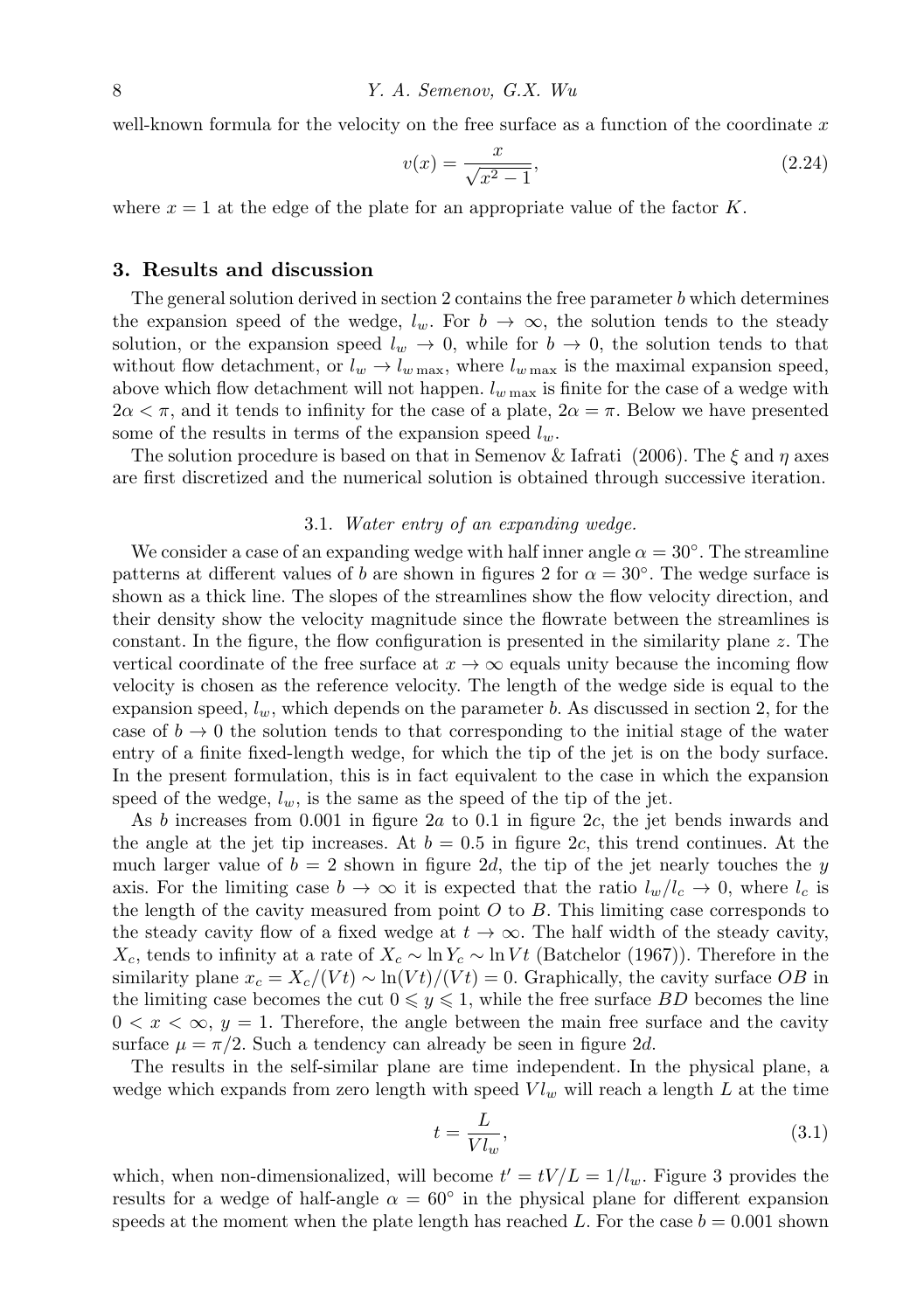well-known formula for the velocity on the free surface as a function of the coordinate *x*

$$
v(x) = \frac{x}{\sqrt{x^2 - 1}},
$$
\n(2.24)

where  $x = 1$  at the edge of the plate for an appropriate value of the factor  $K$ .

### **3. Results and discussion**

The general solution derived in section 2 contains the free parameter *b* which determines the expansion speed of the wedge,  $l_w$ . For  $b \to \infty$ , the solution tends to the steady solution, or the expansion speed  $l_w \rightarrow 0$ , while for  $b \rightarrow 0$ , the solution tends to that without flow detachment, or  $l_w \rightarrow l_{w \text{ max}}$ , where  $l_{w \text{ max}}$  is the maximal expansion speed, above which flow detachment will not happen. *l<sup>w</sup>* max is finite for the case of a wedge with  $2\alpha < \pi$ , and it tends to infinity for the case of a plate,  $2\alpha = \pi$ . Below we have presented some of the results in terms of the expansion speed *lw*.

The solution procedure is based on that in Semenov & Iafrati (2006). The *ξ* and *η* axes are first discretized and the numerical solution is obtained through successive iteration.

#### 3.1. *Water entry of an expanding wedge.*

We consider a case of an expanding wedge with half inner angle  $\alpha = 30^{\circ}$ . The streamline patterns at different values of *b* are shown in figures 2 for  $\alpha = 30^\circ$ . The wedge surface is shown as a thick line. The slopes of the streamlines show the flow velocity direction, and their density show the velocity magnitude since the flowrate between the streamlines is constant. In the figure, the flow configuration is presented in the similarity plane *z*. The vertical coordinate of the free surface at  $x \to \infty$  equals unity because the incoming flow velocity is chosen as the reference velocity. The length of the wedge side is equal to the expansion speed, *lw*, which depends on the parameter *b*. As discussed in section 2, for the case of  $b \to 0$  the solution tends to that corresponding to the initial stage of the water entry of a finite fixed-length wedge, for which the tip of the jet is on the body surface. In the present formulation, this is in fact equivalent to the case in which the expansion speed of the wedge,  $l_w$ , is the same as the speed of the tip of the jet.

As *b* increases from 0*.*001 in figure 2*a* to 0*.*1 in figure 2*c*, the jet bends inwards and the angle at the jet tip increases. At  $b = 0.5$  in figure 2c, this trend continues. At the much larger value of  $b = 2$  shown in figure 2*d*, the tip of the jet nearly touches the *y* axis. For the limiting case  $b \to \infty$  it is expected that the ratio  $l_w/l_c \to 0$ , where  $l_c$  is the length of the cavity measured from point *O* to *B*. This limiting case corresponds to the steady cavity flow of a fixed wedge at  $t \to \infty$ . The half width of the steady cavity, *X*<sub>c</sub>, tends to infinity at a rate of  $X_c \sim \ln Y_c \sim \ln V t$  (Batchelor (1967)). Therefore in the similarity plane  $x_c = X_c/(Vt) \sim \ln(Vt)/(Vt) = 0$ . Graphically, the cavity surface *OB* in the limiting case becomes the cut  $0 \leq y \leq 1$ , while the free surface *BD* becomes the line  $0 < x < \infty$ ,  $y = 1$ . Therefore, the angle between the main free surface and the cavity surface  $\mu = \pi/2$ . Such a tendency can already be seen in figure 2*d*.

The results in the self-similar plane are time independent. In the physical plane, a wedge which expands from zero length with speed  $V l_w$  will reach a length  $L$  at the time

$$
t = \frac{L}{V l_w},\tag{3.1}
$$

which, when non-dimensionalized, will become  $t' = tV/L = 1/l_w$ . Figure 3 provides the results for a wedge of half-angle  $\alpha = 60^\circ$  in the physical plane for different expansion speeds at the moment when the plate length has reached L. For the case  $b = 0.001$  shown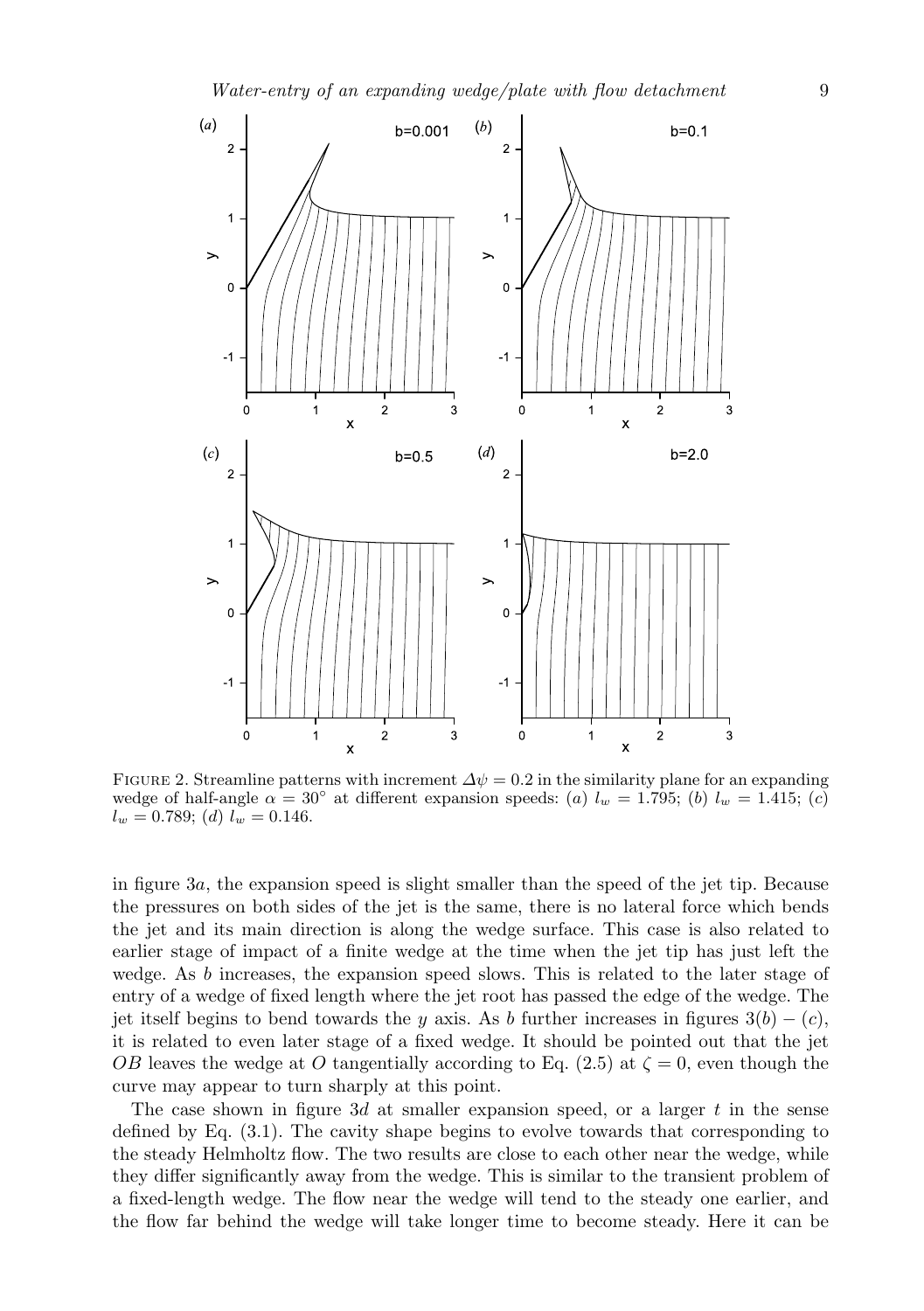

FIGURE 2. Streamline patterns with increment  $\Delta \psi = 0.2$  in the similarity plane for an expanding wedge of half-angle  $\alpha = 30^\circ$  at different expansion speeds: (*a*)  $l_w = 1.795$ ; (*b*)  $l_w = 1.415$ ; (*c*)  $l_w = 0.789$ ; (*d*)  $l_w = 0.146$ .

in figure 3*a*, the expansion speed is slight smaller than the speed of the jet tip. Because the pressures on both sides of the jet is the same, there is no lateral force which bends the jet and its main direction is along the wedge surface. This case is also related to earlier stage of impact of a finite wedge at the time when the jet tip has just left the wedge. As *b* increases, the expansion speed slows. This is related to the later stage of entry of a wedge of fixed length where the jet root has passed the edge of the wedge. The jet itself begins to bend towards the *y* axis. As *b* further increases in figures  $3(b) - (c)$ , it is related to even later stage of a fixed wedge. It should be pointed out that the jet *OB* leaves the wedge at *O* tangentially according to Eq. (2.5) at  $\zeta = 0$ , even though the curve may appear to turn sharply at this point.

The case shown in figure 3*d* at smaller expansion speed, or a larger *t* in the sense defined by Eq. (3.1). The cavity shape begins to evolve towards that corresponding to the steady Helmholtz flow. The two results are close to each other near the wedge, while they differ significantly away from the wedge. This is similar to the transient problem of a fixed-length wedge. The flow near the wedge will tend to the steady one earlier, and the flow far behind the wedge will take longer time to become steady. Here it can be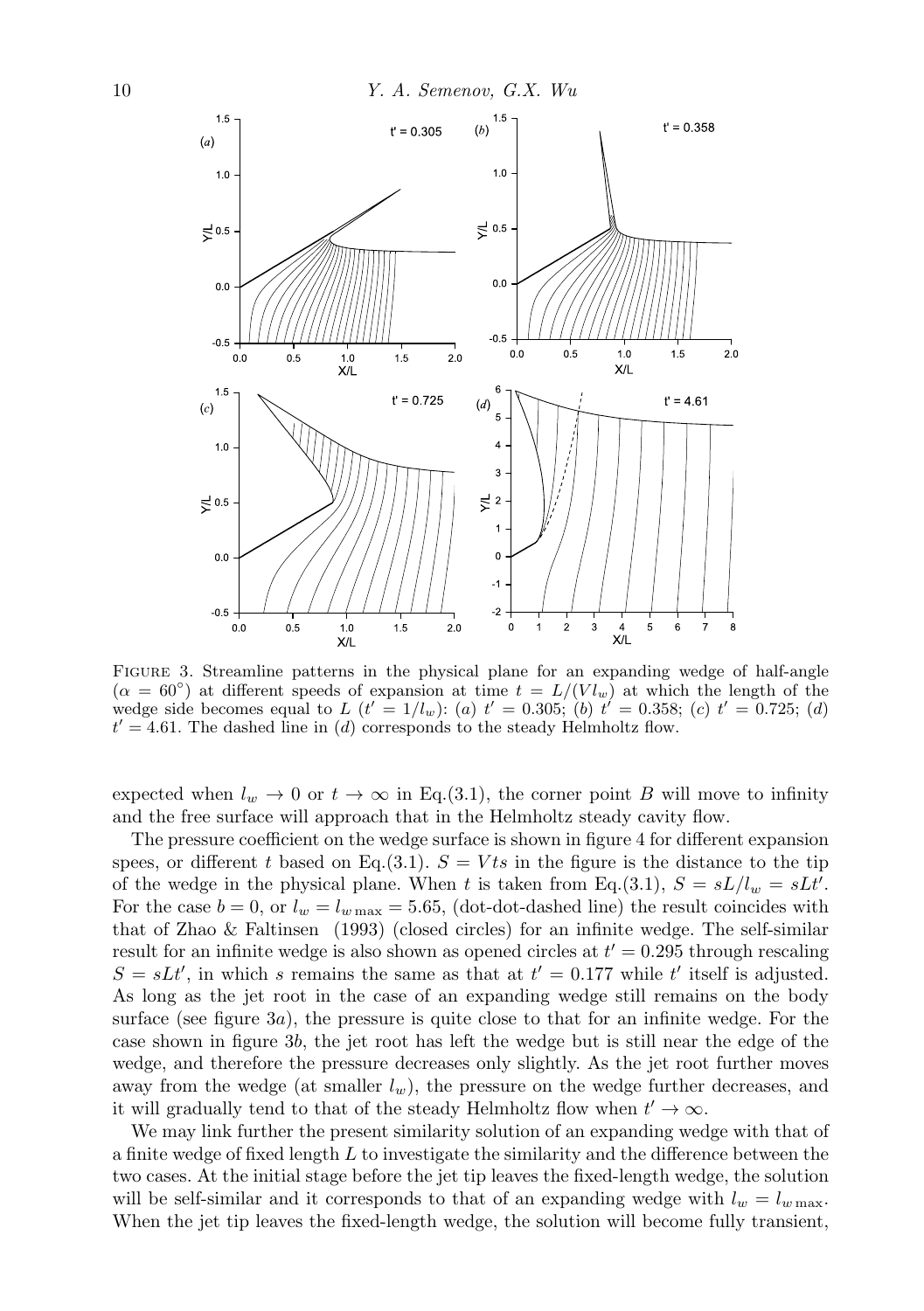

Figure 3. Streamline patterns in the physical plane for an expanding wedge of half-angle  $(\alpha = 60^{\circ})$  at different speeds of expansion at time  $t = L/(V l_w)$  at which the length of the wedge side becomes equal to  $L(t' = 1/l_w)$ : (*a*)  $t' = 0.305$ ; (*b*)  $t' = 0.358$ ; (*c*)  $t' = 0.725$ ; (*d*) *t ′* = 4*.*61. The dashed line in (*d*) corresponds to the steady Helmholtz flow.

expected when  $l_w \to 0$  or  $t \to \infty$  in Eq.(3.1), the corner point *B* will move to infinity and the free surface will approach that in the Helmholtz steady cavity flow.

The pressure coefficient on the wedge surface is shown in figure 4 for different expansion spees, or different *t* based on Eq.(3.1).  $S = Vts$  in the figure is the distance to the tip of the wedge in the physical plane. When *t* is taken from Eq.(3.1),  $S = sL/l_w = sLt'$ . For the case  $b = 0$ , or  $l_w = l_{w \text{ max}} = 5.65$ , (dot-dot-dashed line) the result coincides with that of Zhao & Faltinsen (1993) (closed circles) for an infinite wedge. The self-similar result for an infinite wedge is also shown as opened circles at *t ′* = 0*.*295 through rescaling  $S = sL t'$ , in which *s* remains the same as that at  $t' = 0.177$  while  $t'$  itself is adjusted. As long as the jet root in the case of an expanding wedge still remains on the body surface (see figure 3*a*), the pressure is quite close to that for an infinite wedge. For the case shown in figure 3*b*, the jet root has left the wedge but is still near the edge of the wedge, and therefore the pressure decreases only slightly. As the jet root further moves away from the wedge (at smaller  $l_w$ ), the pressure on the wedge further decreases, and it will gradually tend to that of the steady Helmholtz flow when  $t' \to \infty$ .

We may link further the present similarity solution of an expanding wedge with that of a finite wedge of fixed length *L* to investigate the similarity and the difference between the two cases. At the initial stage before the jet tip leaves the fixed-length wedge, the solution will be self-similar and it corresponds to that of an expanding wedge with  $l_w = l_{w \max}$ . When the jet tip leaves the fixed-length wedge, the solution will become fully transient,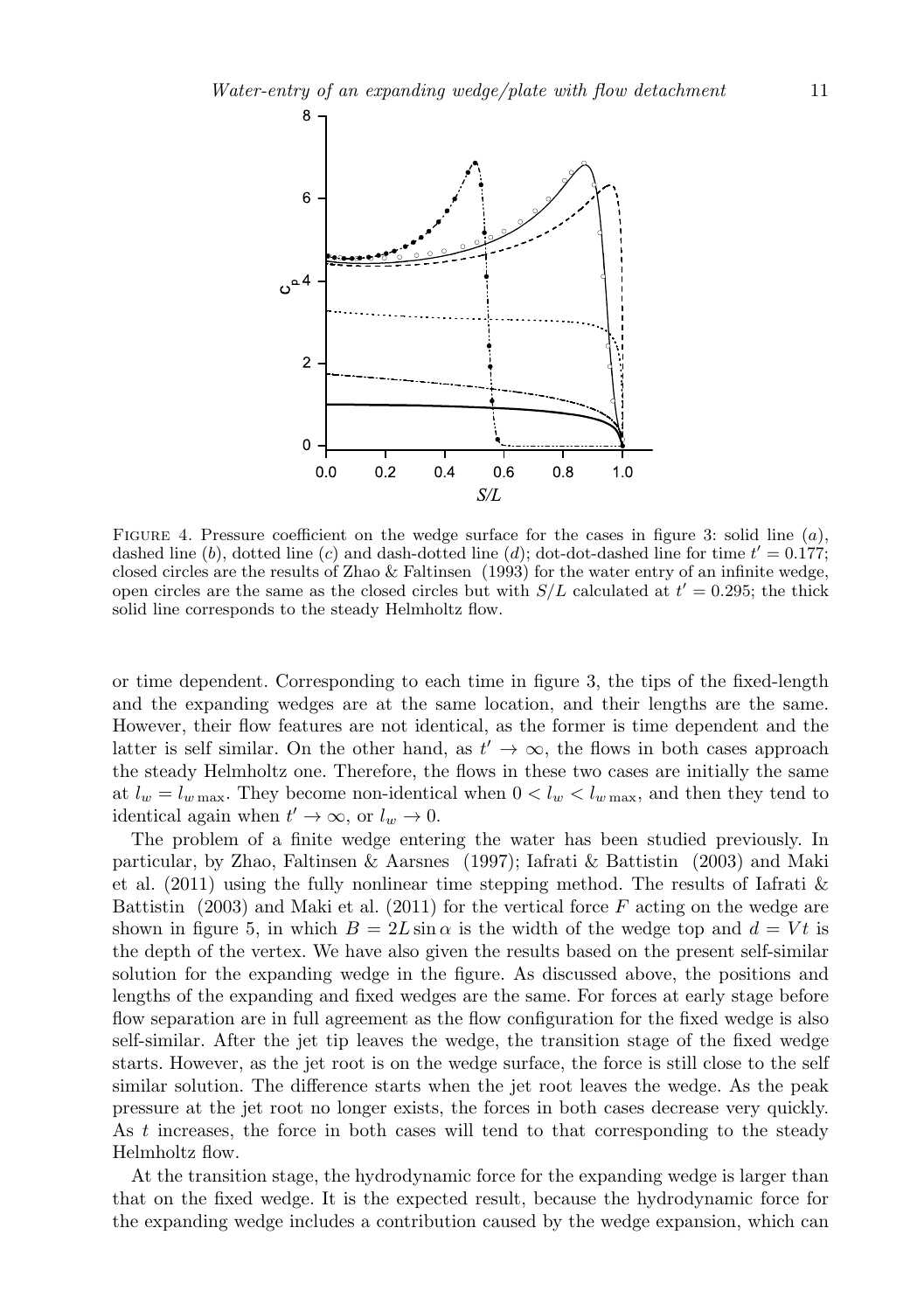

Figure 4. Pressure coefficient on the wedge surface for the cases in figure 3: solid line (*a*), dashed line (*b*), dotted line (*c*) and dash-dotted line (*d*); dot-dot-dashed line for time *t ′* = 0*.*177; closed circles are the results of Zhao & Faltinsen (1993) for the water entry of an infinite wedge, open circles are the same as the closed circles but with  $S/L$  calculated at  $t' = 0.295$ ; the thick solid line corresponds to the steady Helmholtz flow.

or time dependent. Corresponding to each time in figure 3, the tips of the fixed-length and the expanding wedges are at the same location, and their lengths are the same. However, their flow features are not identical, as the former is time dependent and the latter is self similar. On the other hand, as  $t' \rightarrow \infty$ , the flows in both cases approach the steady Helmholtz one. Therefore, the flows in these two cases are initially the same at  $l_w = l_{w \max}$ . They become non-identical when  $0 < l_w < l_{w \max}$ , and then they tend to identical again when  $t' \to \infty$ , or  $l_w \to 0$ .

The problem of a finite wedge entering the water has been studied previously. In particular, by Zhao, Faltinsen & Aarsnes (1997); Iafrati & Battistin (2003) and Maki et al. (2011) using the fully nonlinear time stepping method. The results of Iafrati & Battistin (2003) and Maki et al. (2011) for the vertical force *F* acting on the wedge are shown in figure 5, in which  $B = 2L \sin \alpha$  is the width of the wedge top and  $d = Vt$  is the depth of the vertex. We have also given the results based on the present self-similar solution for the expanding wedge in the figure. As discussed above, the positions and lengths of the expanding and fixed wedges are the same. For forces at early stage before flow separation are in full agreement as the flow configuration for the fixed wedge is also self-similar. After the jet tip leaves the wedge, the transition stage of the fixed wedge starts. However, as the jet root is on the wedge surface, the force is still close to the self similar solution. The difference starts when the jet root leaves the wedge. As the peak pressure at the jet root no longer exists, the forces in both cases decrease very quickly. As *t* increases, the force in both cases will tend to that corresponding to the steady Helmholtz flow.

At the transition stage, the hydrodynamic force for the expanding wedge is larger than that on the fixed wedge. It is the expected result, because the hydrodynamic force for the expanding wedge includes a contribution caused by the wedge expansion, which can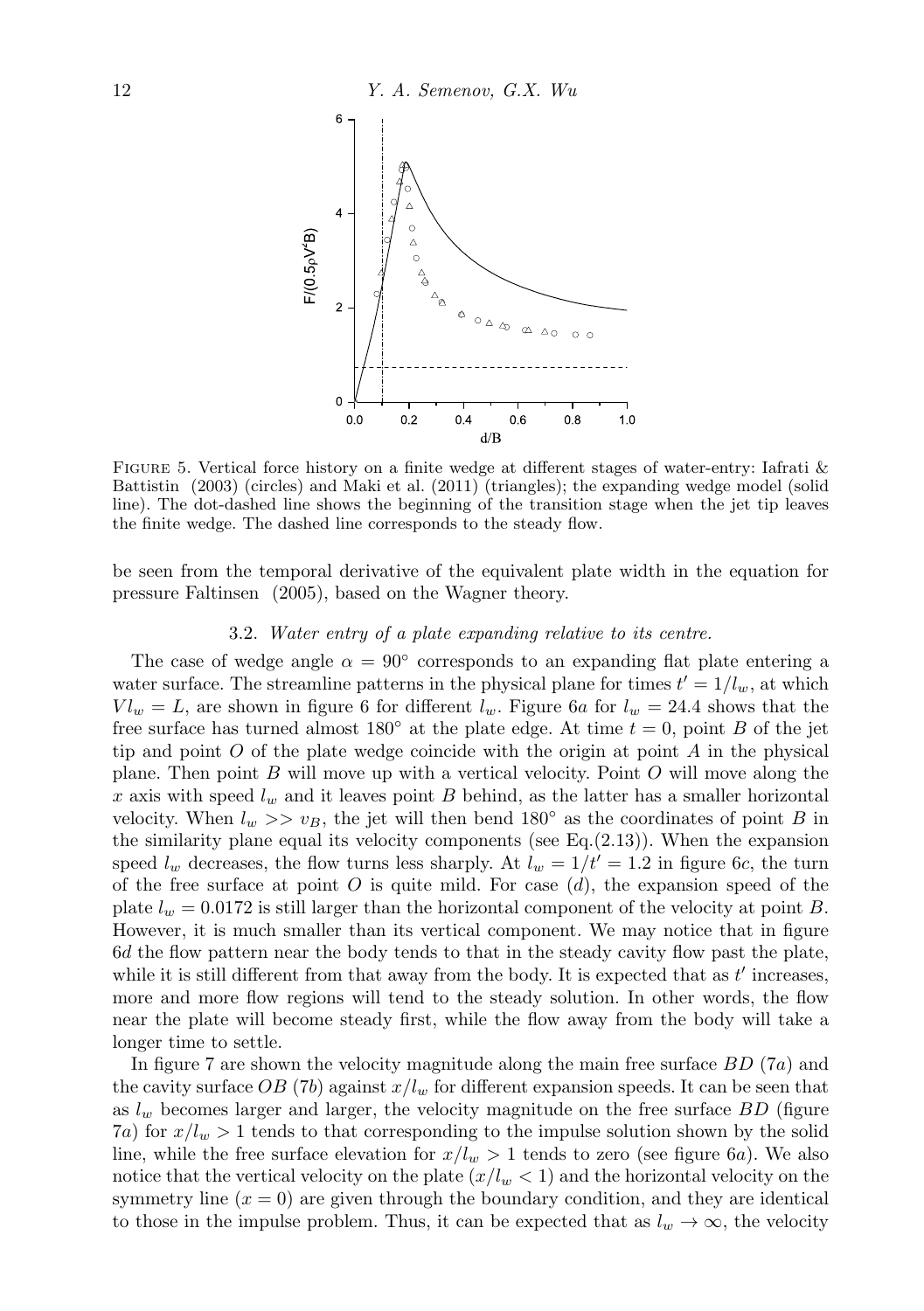

Figure 5. Vertical force history on a finite wedge at different stages of water-entry: Iafrati & Battistin (2003) (circles) and Maki et al. (2011) (triangles); the expanding wedge model (solid line). The dot-dashed line shows the beginning of the transition stage when the jet tip leaves the finite wedge. The dashed line corresponds to the steady flow.

be seen from the temporal derivative of the equivalent plate width in the equation for pressure Faltinsen (2005), based on the Wagner theory.

## 3.2. *Water entry of a plate expanding relative to its centre.*

The case of wedge angle  $\alpha = 90^{\circ}$  corresponds to an expanding flat plate entering a water surface. The streamline patterns in the physical plane for times  $t' = 1/l_w$ , at which  $V l_w = L$ , are shown in figure 6 for different  $l_w$ . Figure 6*a* for  $l_w = 24.4$  shows that the free surface has turned almost  $180^\circ$  at the plate edge. At time  $t = 0$ , point *B* of the jet tip and point *O* of the plate wedge coincide with the origin at point *A* in the physical plane. Then point *B* will move up with a vertical velocity. Point *O* will move along the x axis with speed  $l_w$  and it leaves point *B* behind, as the latter has a smaller horizontal velocity. When  $l_w \gg v_B$ , the jet will then bend 180<sup>°</sup> as the coordinates of point *B* in the similarity plane equal its velocity components (see Eq. $(2.13)$ ). When the expansion speed  $l_w$  decreases, the flow turns less sharply. At  $l_w = 1/t' = 1.2$  in figure 6*c*, the turn of the free surface at point *O* is quite mild. For case (*d*), the expansion speed of the plate  $l_w = 0.0172$  is still larger than the horizontal component of the velocity at point *B*. However, it is much smaller than its vertical component. We may notice that in figure 6*d* the flow pattern near the body tends to that in the steady cavity flow past the plate, while it is still different from that away from the body. It is expected that as *t ′* increases, more and more flow regions will tend to the steady solution. In other words, the flow near the plate will become steady first, while the flow away from the body will take a longer time to settle.

In figure 7 are shown the velocity magnitude along the main free surface *BD* (7*a*) and the cavity surface  $OB$  (7*b*) against  $x/l_w$  for different expansion speeds. It can be seen that as *l<sup>w</sup>* becomes larger and larger, the velocity magnitude on the free surface *BD* (figure 7*a*) for  $x/l_w > 1$  tends to that corresponding to the impulse solution shown by the solid line, while the free surface elevation for  $x/l_w > 1$  tends to zero (see figure 6*a*). We also notice that the vertical velocity on the plate  $(x/l_w < 1)$  and the horizontal velocity on the symmetry line  $(x = 0)$  are given through the boundary condition, and they are identical to those in the impulse problem. Thus, it can be expected that as  $l_w \rightarrow \infty$ , the velocity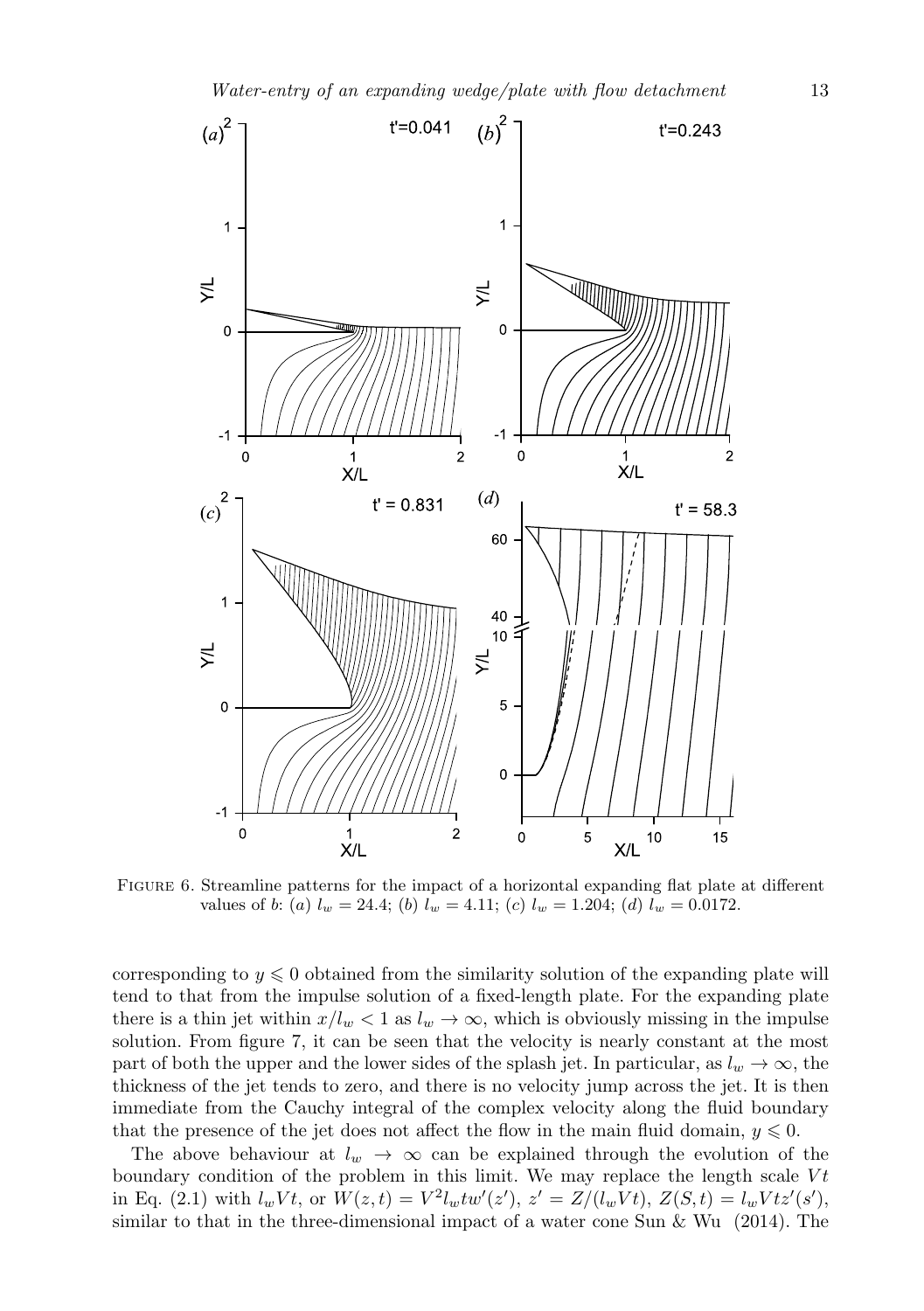

FIGURE 6. Streamline patterns for the impact of a horizontal expanding flat plate at different values of *b*: (*a*)  $l_w = 24.4$ ; (*b*)  $l_w = 4.11$ ; (*c*)  $l_w = 1.204$ ; (*d*)  $l_w = 0.0172$ .

corresponding to  $y \leq 0$  obtained from the similarity solution of the expanding plate will tend to that from the impulse solution of a fixed-length plate. For the expanding plate there is a thin jet within  $x/l_w < 1$  as  $l_w \to \infty$ , which is obviously missing in the impulse solution. From figure 7, it can be seen that the velocity is nearly constant at the most part of both the upper and the lower sides of the splash jet. In particular, as  $l_w \rightarrow \infty$ , the thickness of the jet tends to zero, and there is no velocity jump across the jet. It is then immediate from the Cauchy integral of the complex velocity along the fluid boundary that the presence of the jet does not affect the flow in the main fluid domain,  $y \leq 0$ .

The above behaviour at  $l_w \rightarrow \infty$  can be explained through the evolution of the boundary condition of the problem in this limit. We may replace the length scale *V t* in Eq. (2.1) with  $l_w Vt$ , or  $W(z,t) = V^2 l_w t w'(z')$ ,  $z' = Z/(l_w Vt)$ ,  $Z(S,t) = l_w Vt z'(s')$ , similar to that in the three-dimensional impact of a water cone Sun  $\&$  Wu (2014). The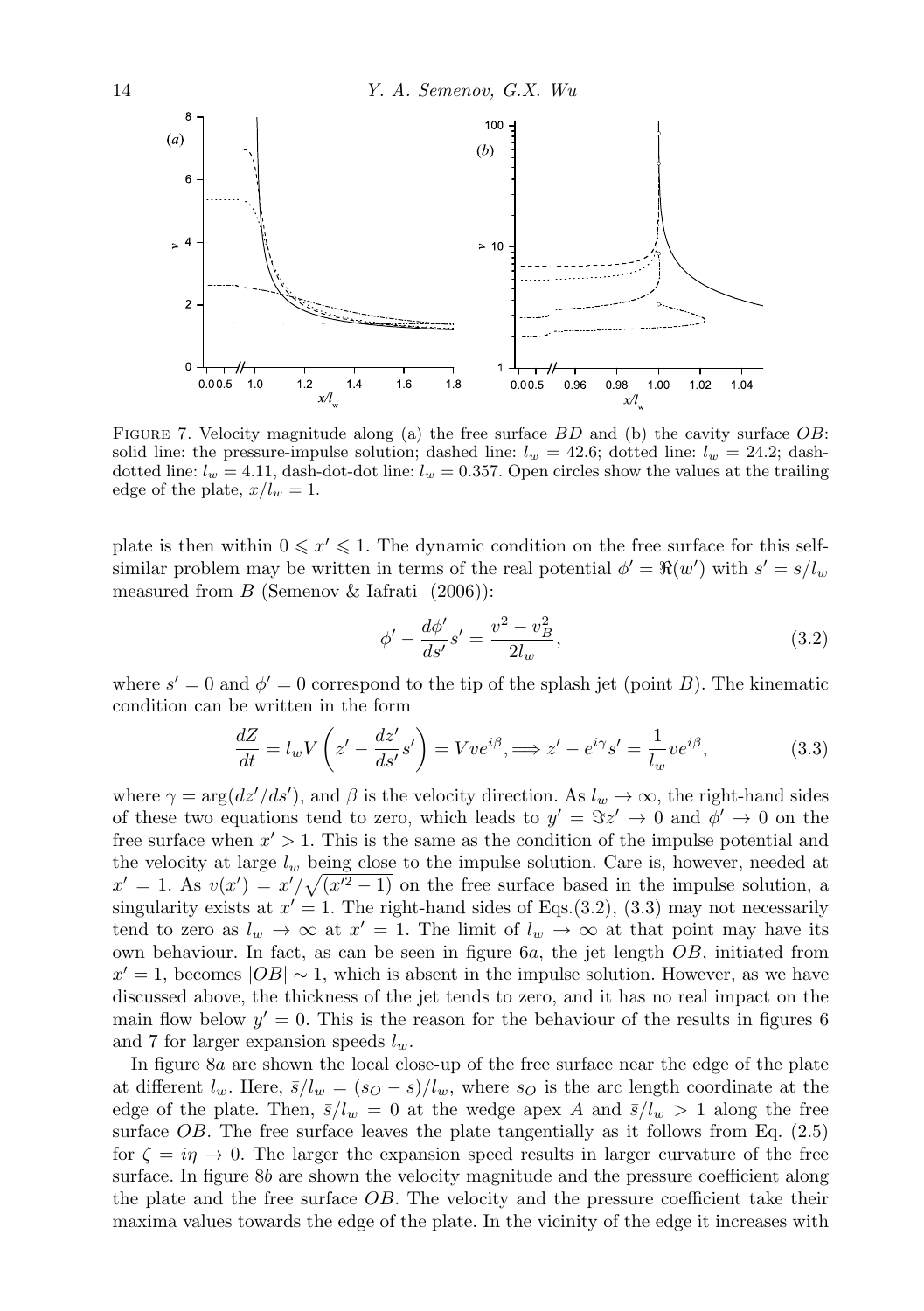

Figure 7. Velocity magnitude along (a) the free surface *BD* and (b) the cavity surface *OB*: solid line: the pressure-impulse solution; dashed line:  $l_w = 42.6$ ; dotted line:  $l_w = 24.2$ ; dashdotted line:  $l_w = 4.11$ , dash-dot-dot line:  $l_w = 0.357$ . Open circles show the values at the trailing edge of the plate,  $x/l_w = 1$ .

plate is then within  $0 \leq x' \leq 1$ . The dynamic condition on the free surface for this selfsimilar problem may be written in terms of the real potential  $\phi' = \Re(w')$  with  $s' = s/l_w$ measured from *B* (Semenov & Iafrati (2006)):

$$
\phi' - \frac{d\phi'}{ds'}s' = \frac{v^2 - v_B^2}{2l_w},\tag{3.2}
$$

where  $s' = 0$  and  $\phi' = 0$  correspond to the tip of the splash jet (point *B*). The kinematic condition can be written in the form

$$
\frac{dZ}{dt} = l_w V \left( z' - \frac{dz'}{ds'} s' \right) = V v e^{i\beta}, \implies z' - e^{i\gamma} s' = \frac{1}{l_w} v e^{i\beta},\tag{3.3}
$$

where  $\gamma = \arg(dz'/ds')$ , and  $\beta$  is the velocity direction. As  $l_w \to \infty$ , the right-hand sides of these two equations tend to zero, which leads to  $y' = \Im z' \to 0$  and  $\phi' \to 0$  on the free surface when *x ′ >* 1. This is the same as the condition of the impulse potential and the velocity at large *l<sup>w</sup>* being close to the impulse solution. Care is, however, needed at  $x' = 1$ . As  $v(x') = x'/\sqrt{(x'^2 - 1)}$  on the free surface based in the impulse solution, a singularity exists at  $x' = 1$ . The right-hand sides of Eqs.(3.2), (3.3) may not necessarily tend to zero as  $l_w \to \infty$  at  $x' = 1$ . The limit of  $l_w \to \infty$  at that point may have its own behaviour. In fact, as can be seen in figure 6*a*, the jet length *OB*, initiated from  $x' = 1$ , becomes  $|OB| \sim 1$ , which is absent in the impulse solution. However, as we have discussed above, the thickness of the jet tends to zero, and it has no real impact on the main flow below  $y' = 0$ . This is the reason for the behaviour of the results in figures 6 and 7 for larger expansion speeds *lw*.

In figure 8*a* are shown the local close-up of the free surface near the edge of the plate at different  $l_w$ . Here,  $\bar{s}/l_w = (s_O - s)/l_w$ , where  $s_O$  is the arc length coordinate at the edge of the plate. Then,  $\bar{s}/l_w = 0$  at the wedge apex *A* and  $\bar{s}/l_w > 1$  along the free surface *OB*. The free surface leaves the plate tangentially as it follows from Eq. (2.5) for  $\zeta = i\eta \to 0$ . The larger the expansion speed results in larger curvature of the free surface. In figure 8*b* are shown the velocity magnitude and the pressure coefficient along the plate and the free surface *OB*. The velocity and the pressure coefficient take their maxima values towards the edge of the plate. In the vicinity of the edge it increases with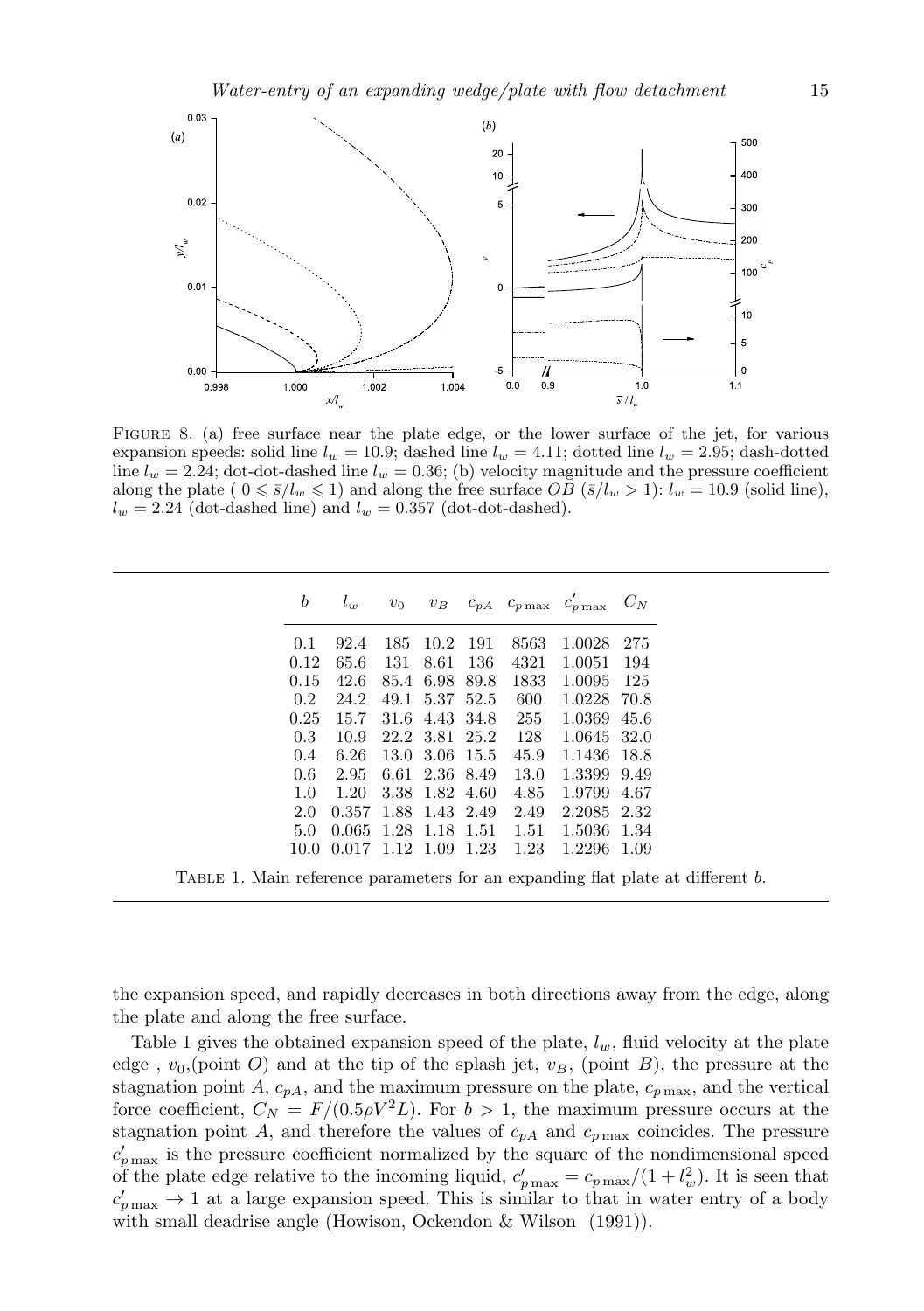

Figure 8. (a) free surface near the plate edge, or the lower surface of the jet, for various expansion speeds: solid line  $l_w = 10.9$ ; dashed line  $l_w = 4.11$ ; dotted line  $l_w = 2.95$ ; dash-dotted line  $l_w = 2.24$ ; dot-dot-dashed line  $l_w = 0.36$ ; (b) velocity magnitude and the pressure coefficient along the plate (  $0 \leq \overline{s}/l_w \leq 1$ ) and along the free surface *OB* ( $\overline{s}/l_w > 1$ ):  $l_w = 10.9$  (solid line),  $l_w = 2.24$  (dot-dashed line) and  $l_w = 0.357$  (dot-dot-dashed).

| b                | $l_w$                  | $v_0$          |                |     |      | $v_B$ $c_{pA}$ $c_{p\max}$ $c'_{p\max}$ $C_N$ |     |
|------------------|------------------------|----------------|----------------|-----|------|-----------------------------------------------|-----|
| 0.1              | 92.4                   | 185            | 10.2           | 191 | 8563 | 1.0028                                        | 275 |
| 0.12             | 65.6                   | 131            | 8.61           | 136 | 4321 | 1.0051                                        | 194 |
| 0.15             | 42.6                   |                | 85.4 6.98 89.8 |     | 1833 | 1.0095                                        | 125 |
| 0.2              | 24.2                   |                | 49.1 5.37 52.5 |     | 600  | 1.0228 70.8                                   |     |
| 0.25             | 15.7                   |                | 31.6 4.43 34.8 |     | 255  | 1.0369 45.6                                   |     |
| 0.3 <sub>1</sub> | 10.9                   |                | 22.2 3.81 25.2 |     | 128  | 1.0645 32.0                                   |     |
| 0.4              | 6.26                   |                | 13.0 3.06 15.5 |     | 45.9 | 1.1436 18.8                                   |     |
| 0.6              | 2.95                   |                | 6.61 2.36 8.49 |     | 13.0 | 1.3399 9.49                                   |     |
| 1.0              | 1.20                   |                | 3.38 1.82 4.60 |     | 4.85 | 1.9799 4.67                                   |     |
| 2.0              | 0.357                  | 1.88 1.43 2.49 |                |     | 2.49 | 2.2085 2.32                                   |     |
| 5.0              | $0.065$ 1.28 1.18 1.51 |                |                |     | 1.51 | 1.5036 1.34                                   |     |
| 10.0             | $0.017$ 1.12 1.09 1.23 |                |                |     | 1.23 | 1.2296 1.09                                   |     |

the expansion speed, and rapidly decreases in both directions away from the edge, along the plate and along the free surface.

Table 1 gives the obtained expansion speed of the plate, *lw*, fluid velocity at the plate edge,  $v_0$ , (point *O*) and at the tip of the splash jet,  $v_B$ , (point *B*), the pressure at the stagnation point *A*,  $c_{pA}$ , and the maximum pressure on the plate,  $c_{p\,\text{max}}$ , and the vertical force coefficient,  $C_N = F/(0.5 \rho V^2 L)$ . For  $b > 1$ , the maximum pressure occurs at the stagnation point *A*, and therefore the values of  $c_{pA}$  and  $c_{p\max}$  coincides. The pressure  $c'_{p\,\text{max}}$  is the pressure coefficient normalized by the square of the nondimensional speed of the plate edge relative to the incoming liquid,  $c'_{p \max} = c_{p \max}/(1 + l_w^2)$ . It is seen that  $c'_{p\max} \rightarrow 1$  at a large expansion speed. This is similar to that in water entry of a body with small deadrise angle (Howison, Ockendon & Wilson (1991)).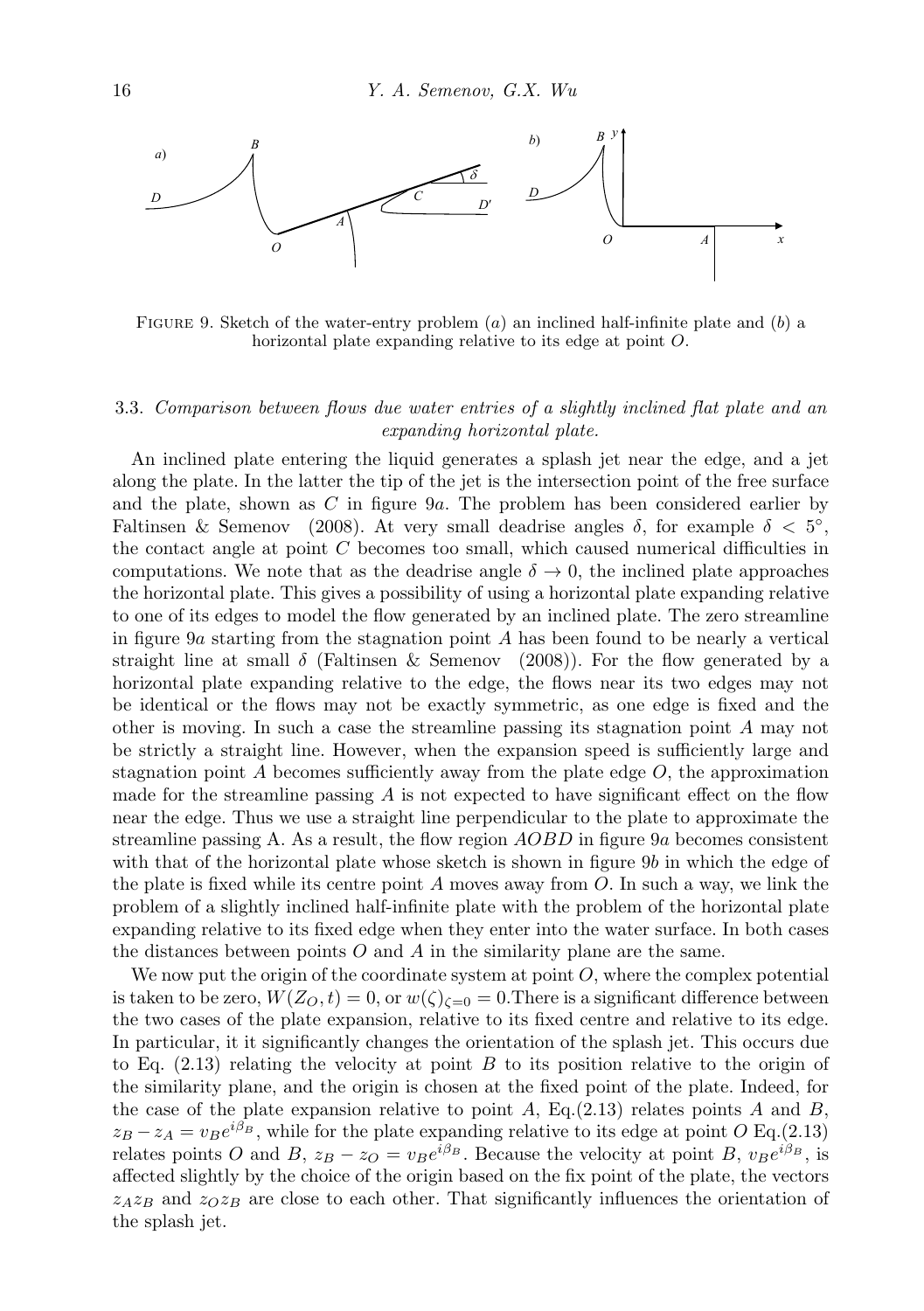

Figure 9. Sketch of the water-entry problem (*a*) an inclined half-infinite plate and (*b*) a horizontal plate expanding relative to its edge at point *O*.

## 3.3. *Comparison between flows due water entries of a slightly inclined flat plate and an expanding horizontal plate.*

An inclined plate entering the liquid generates a splash jet near the edge, and a jet along the plate. In the latter the tip of the jet is the intersection point of the free surface and the plate, shown as *C* in figure 9*a*. The problem has been considered earlier by Faltinsen & Semenov (2008). At very small deadrise angles  $\delta$ , for example  $\delta < 5^{\circ}$ , the contact angle at point *C* becomes too small, which caused numerical difficulties in computations. We note that as the deadrise angle  $\delta \to 0$ , the inclined plate approaches the horizontal plate. This gives a possibility of using a horizontal plate expanding relative to one of its edges to model the flow generated by an inclined plate. The zero streamline in figure 9*a* starting from the stagnation point *A* has been found to be nearly a vertical straight line at small  $\delta$  (Faltinsen & Semenov (2008)). For the flow generated by a horizontal plate expanding relative to the edge, the flows near its two edges may not be identical or the flows may not be exactly symmetric, as one edge is fixed and the other is moving. In such a case the streamline passing its stagnation point *A* may not be strictly a straight line. However, when the expansion speed is sufficiently large and stagnation point  $A$  becomes sufficiently away from the plate edge  $O$ , the approximation made for the streamline passing *A* is not expected to have significant effect on the flow near the edge. Thus we use a straight line perpendicular to the plate to approximate the streamline passing A. As a result, the flow region *AOBD* in figure 9*a* becomes consistent with that of the horizontal plate whose sketch is shown in figure 9*b* in which the edge of the plate is fixed while its centre point *A* moves away from *O*. In such a way, we link the problem of a slightly inclined half-infinite plate with the problem of the horizontal plate expanding relative to its fixed edge when they enter into the water surface. In both cases the distances between points *O* and *A* in the similarity plane are the same.

We now put the origin of the coordinate system at point *O*, where the complex potential is taken to be zero,  $W(Z_O, t) = 0$ , or  $w(\zeta)_{\zeta=0} = 0$ . There is a significant difference between the two cases of the plate expansion, relative to its fixed centre and relative to its edge. In particular, it it significantly changes the orientation of the splash jet. This occurs due to Eq. (2.13) relating the velocity at point *B* to its position relative to the origin of the similarity plane, and the origin is chosen at the fixed point of the plate. Indeed, for the case of the plate expansion relative to point  $A$ , Eq.(2.13) relates points  $A$  and  $B$ ,  $z_B - z_A = v_B e^{i\beta_B}$ , while for the plate expanding relative to its edge at point *O* Eq.(2.13) relates points *O* and *B*,  $z_B - z_O = v_B e^{i\beta_B}$ . Because the velocity at point *B*,  $v_B e^{i\beta_B}$ , is affected slightly by the choice of the origin based on the fix point of the plate, the vectors  $z_A z_B$  and  $z_O z_B$  are close to each other. That significantly influences the orientation of the splash jet.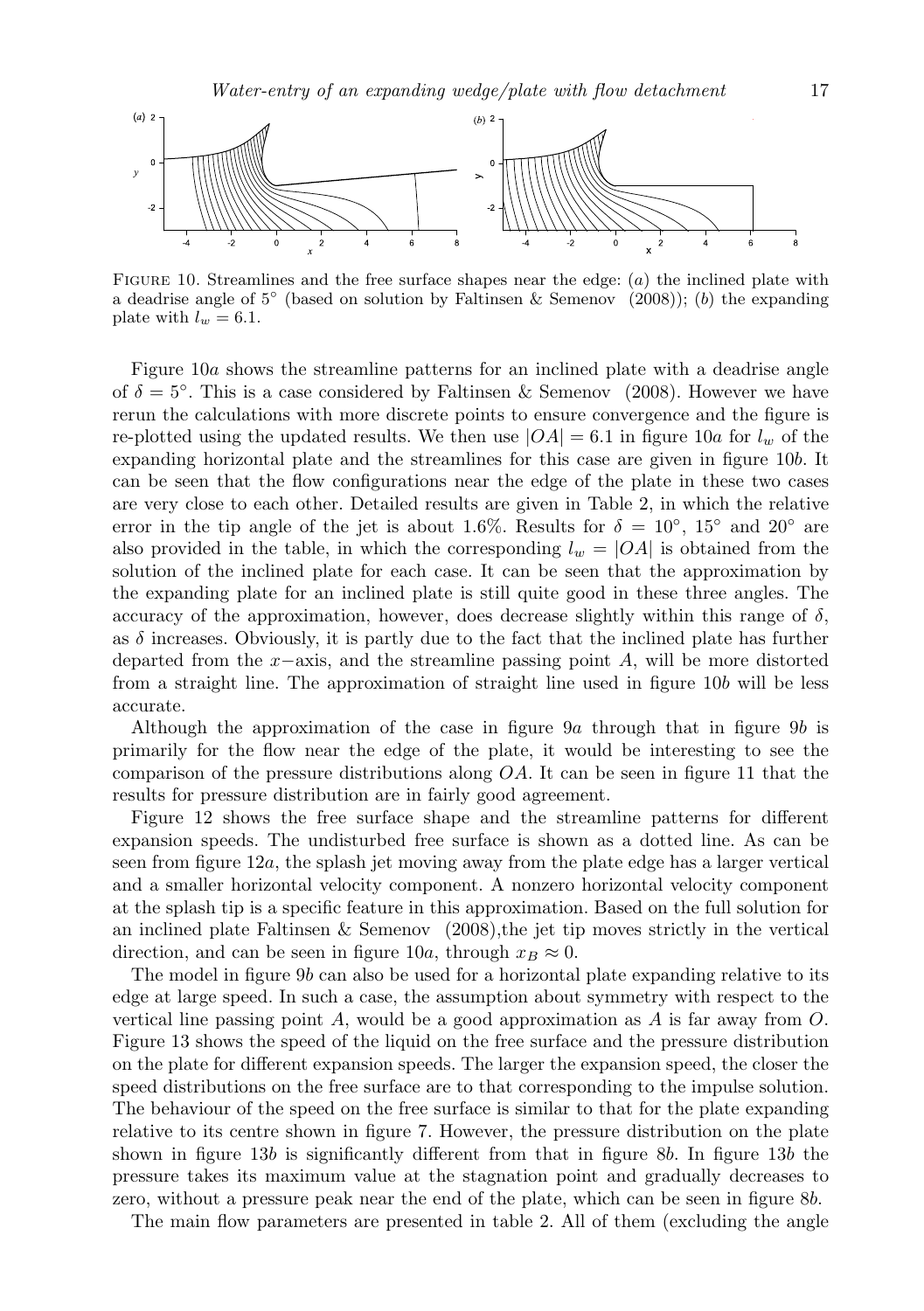

Figure 10. Streamlines and the free surface shapes near the edge: (*a*) the inclined plate with a deadrise angle of 5<sup>°</sup> (based on solution by Faltinsen & Semenov (2008)); (*b*) the expanding plate with  $l_w = 6.1$ .

Figure 10*a* shows the streamline patterns for an inclined plate with a deadrise angle of  $\delta = 5^\circ$ . This is a case considered by Faltinsen & Semenov (2008). However we have rerun the calculations with more discrete points to ensure convergence and the figure is re-plotted using the updated results. We then use  $|OA| = 6.1$  in figure 10*a* for  $l_w$  of the expanding horizontal plate and the streamlines for this case are given in figure 10*b*. It can be seen that the flow configurations near the edge of the plate in these two cases are very close to each other. Detailed results are given in Table 2, in which the relative error in the tip angle of the jet is about 1.6%. Results for  $\delta = 10^{\circ}$ , 15<sup>°</sup> and 20<sup>°</sup> are also provided in the table, in which the corresponding  $l_w = |OA|$  is obtained from the solution of the inclined plate for each case. It can be seen that the approximation by the expanding plate for an inclined plate is still quite good in these three angles. The accuracy of the approximation, however, does decrease slightly within this range of  $\delta$ , as  $\delta$  increases. Obviously, it is partly due to the fact that the inclined plate has further departed from the *x−*axis, and the streamline passing point *A*, will be more distorted from a straight line. The approximation of straight line used in figure 10*b* will be less accurate.

Although the approximation of the case in figure 9*a* through that in figure 9*b* is primarily for the flow near the edge of the plate, it would be interesting to see the comparison of the pressure distributions along *OA*. It can be seen in figure 11 that the results for pressure distribution are in fairly good agreement.

Figure 12 shows the free surface shape and the streamline patterns for different expansion speeds. The undisturbed free surface is shown as a dotted line. As can be seen from figure 12*a*, the splash jet moving away from the plate edge has a larger vertical and a smaller horizontal velocity component. A nonzero horizontal velocity component at the splash tip is a specific feature in this approximation. Based on the full solution for an inclined plate Faltinsen & Semenov (2008),the jet tip moves strictly in the vertical direction, and can be seen in figure 10*a*, through  $x_B \approx 0$ .

The model in figure 9*b* can also be used for a horizontal plate expanding relative to its edge at large speed. In such a case, the assumption about symmetry with respect to the vertical line passing point *A*, would be a good approximation as *A* is far away from *O*. Figure 13 shows the speed of the liquid on the free surface and the pressure distribution on the plate for different expansion speeds. The larger the expansion speed, the closer the speed distributions on the free surface are to that corresponding to the impulse solution. The behaviour of the speed on the free surface is similar to that for the plate expanding relative to its centre shown in figure 7. However, the pressure distribution on the plate shown in figure 13*b* is significantly different from that in figure 8*b*. In figure 13*b* the pressure takes its maximum value at the stagnation point and gradually decreases to zero, without a pressure peak near the end of the plate, which can be seen in figure 8*b*.

The main flow parameters are presented in table 2. All of them (excluding the angle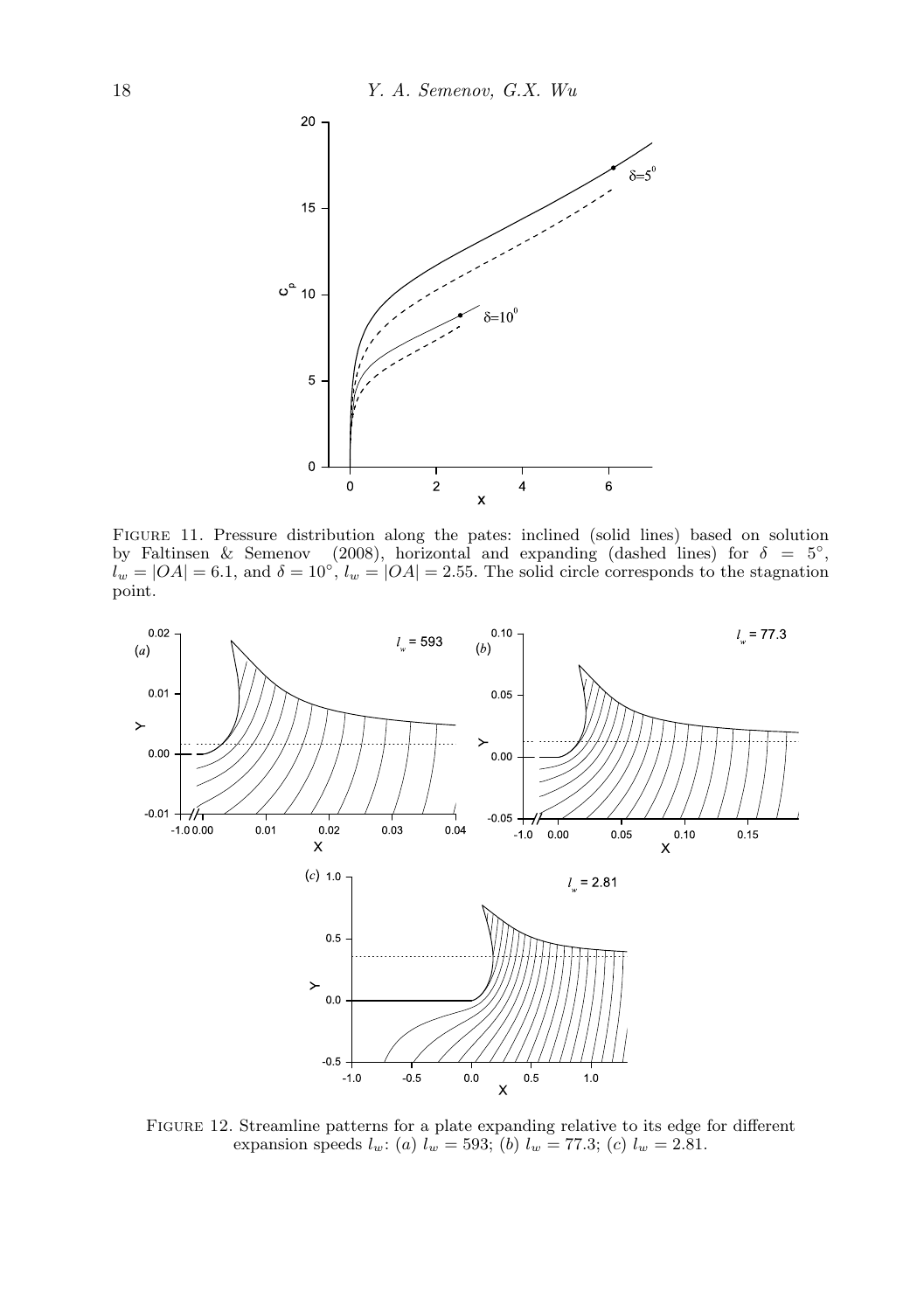

Figure 11. Pressure distribution along the pates: inclined (solid lines) based on solution by Faltinsen & Semenov (2008), horizontal and expanding (dashed lines) for  $\delta = 5^\circ$ ,  $l_w = |OA| = 6.1$ , and  $\delta = 10^\circ$ ,  $l_w = |OA| = 2.55$ . The solid circle corresponds to the stagnation point.



Figure 12. Streamline patterns for a plate expanding relative to its edge for different expansion speeds  $l_w$ : (*a*)  $l_w = 593$ ; (*b*)  $l_w = 77.3$ ; (*c*)  $l_w = 2.81$ .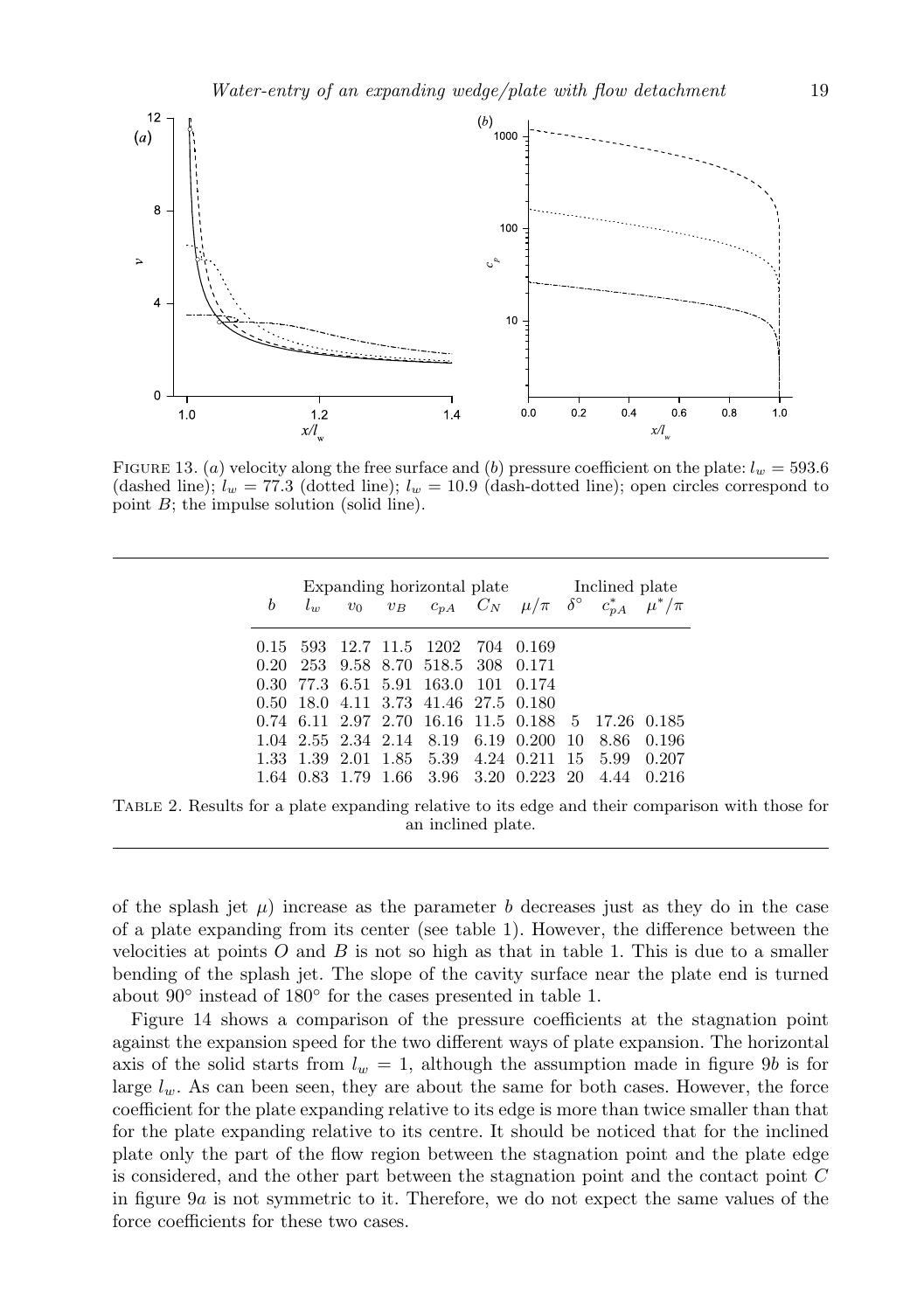

FIGURE 13. (*a*) velocity along the free surface and (*b*) pressure coefficient on the plate:  $l_w = 593.6$ (dashed line);  $l_w = 77.3$  (dotted line);  $l_w = 10.9$  (dash-dotted line); open circles correspond to point *B*; the impulse solution (solid line).

| Expanding horizontal plate Inclined plate |                |  |  |                                      |     |                                                                                                      |    |      |       |  |  |
|-------------------------------------------|----------------|--|--|--------------------------------------|-----|------------------------------------------------------------------------------------------------------|----|------|-------|--|--|
| b                                         |                |  |  |                                      |     | $l_w$ v <sub>0</sub> v <sub>B</sub> $c_{pA}$ $C_N$ $\mu/\pi$ $\delta^{\circ}$ $c_{pA}^*$ $\mu^*/\pi$ |    |      |       |  |  |
| 0.15 593                                  |                |  |  | 12.7 11.5 1202                       | 704 | 0.169                                                                                                |    |      |       |  |  |
| 0.20                                      | 253            |  |  | 9.58 8.70 518.5 308 0.171            |     |                                                                                                      |    |      |       |  |  |
| 0.30                                      |                |  |  | 77.3 6.51 5.91 163.0                 | 101 | 0.174                                                                                                |    |      |       |  |  |
|                                           |                |  |  | 0.50 18.0 4.11 3.73 41.46 27.5 0.180 |     |                                                                                                      |    |      |       |  |  |
|                                           |                |  |  |                                      |     | 0.74 6.11 2.97 2.70 16.16 11.5 0.188 5 17.26 0.185                                                   |    |      |       |  |  |
|                                           |                |  |  | 1.04 2.55 2.34 2.14 8.19 6.19 0.200  |     |                                                                                                      | 10 | 8.86 | 0.196 |  |  |
|                                           | 1.33 1.39 2.01 |  |  | 1.85 5.39 4.24 0.211                 |     |                                                                                                      | 15 | 5.99 | 0.207 |  |  |
|                                           |                |  |  | 1.64 0.83 1.79 1.66 3.96 3.20        |     | 0.223 20                                                                                             |    | 4.44 | 0.216 |  |  |

Table 2. Results for a plate expanding relative to its edge and their comparison with those for an inclined plate.

of the splash jet  $\mu$ ) increase as the parameter *b* decreases just as they do in the case of a plate expanding from its center (see table 1). However, the difference between the velocities at points *O* and *B* is not so high as that in table 1. This is due to a smaller bending of the splash jet. The slope of the cavity surface near the plate end is turned about 90*◦* instead of 180*◦* for the cases presented in table 1.

Figure 14 shows a comparison of the pressure coefficients at the stagnation point against the expansion speed for the two different ways of plate expansion. The horizontal axis of the solid starts from  $l_w = 1$ , although the assumption made in figure 9*b* is for large  $l_w$ . As can been seen, they are about the same for both cases. However, the force coefficient for the plate expanding relative to its edge is more than twice smaller than that for the plate expanding relative to its centre. It should be noticed that for the inclined plate only the part of the flow region between the stagnation point and the plate edge is considered, and the other part between the stagnation point and the contact point *C* in figure 9*a* is not symmetric to it. Therefore, we do not expect the same values of the force coefficients for these two cases.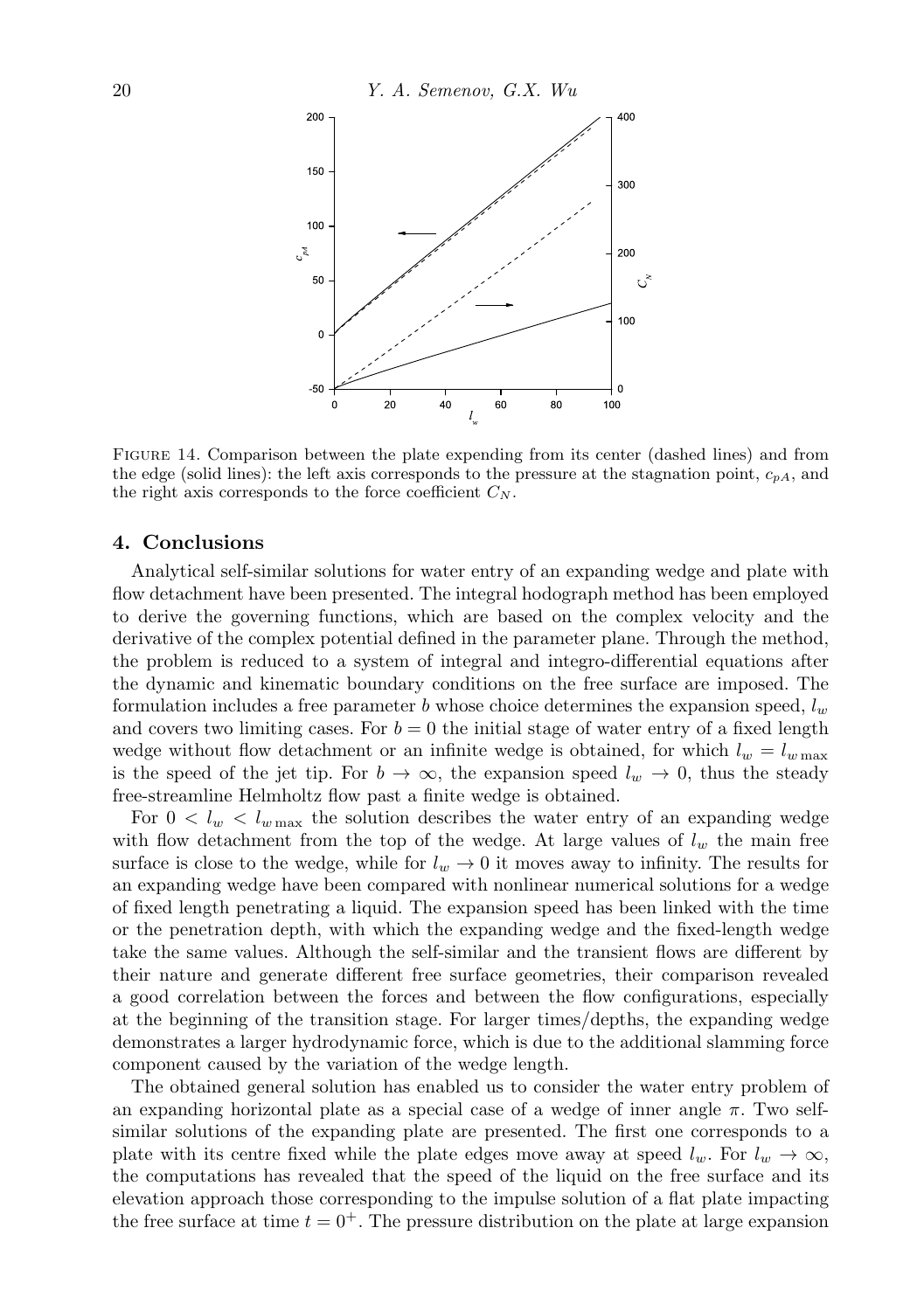

Figure 14. Comparison between the plate expending from its center (dashed lines) and from the edge (solid lines): the left axis corresponds to the pressure at the stagnation point, *cpA*, and the right axis corresponds to the force coefficient  $C_N$ .

## **4. Conclusions**

Analytical self-similar solutions for water entry of an expanding wedge and plate with flow detachment have been presented. The integral hodograph method has been employed to derive the governing functions, which are based on the complex velocity and the derivative of the complex potential defined in the parameter plane. Through the method, the problem is reduced to a system of integral and integro-differential equations after the dynamic and kinematic boundary conditions on the free surface are imposed. The formulation includes a free parameter *b* whose choice determines the expansion speed, *l<sup>w</sup>* and covers two limiting cases. For  $b = 0$  the initial stage of water entry of a fixed length wedge without flow detachment or an infinite wedge is obtained, for which  $l_w = l_{w \max}$ is the speed of the jet tip. For  $b \to \infty$ , the expansion speed  $l_w \to 0$ , thus the steady free-streamline Helmholtz flow past a finite wedge is obtained.

For  $0 < l_w < l_{w \text{ max}}$  the solution describes the water entry of an expanding wedge with flow detachment from the top of the wedge. At large values of  $l_w$  the main free surface is close to the wedge, while for  $l_w \rightarrow 0$  it moves away to infinity. The results for an expanding wedge have been compared with nonlinear numerical solutions for a wedge of fixed length penetrating a liquid. The expansion speed has been linked with the time or the penetration depth, with which the expanding wedge and the fixed-length wedge take the same values. Although the self-similar and the transient flows are different by their nature and generate different free surface geometries, their comparison revealed a good correlation between the forces and between the flow configurations, especially at the beginning of the transition stage. For larger times/depths, the expanding wedge demonstrates a larger hydrodynamic force, which is due to the additional slamming force component caused by the variation of the wedge length.

The obtained general solution has enabled us to consider the water entry problem of an expanding horizontal plate as a special case of a wedge of inner angle *π*. Two selfsimilar solutions of the expanding plate are presented. The first one corresponds to a plate with its centre fixed while the plate edges move away at speed  $l_w$ . For  $l_w \rightarrow \infty$ , the computations has revealed that the speed of the liquid on the free surface and its elevation approach those corresponding to the impulse solution of a flat plate impacting the free surface at time  $t = 0^+$ . The pressure distribution on the plate at large expansion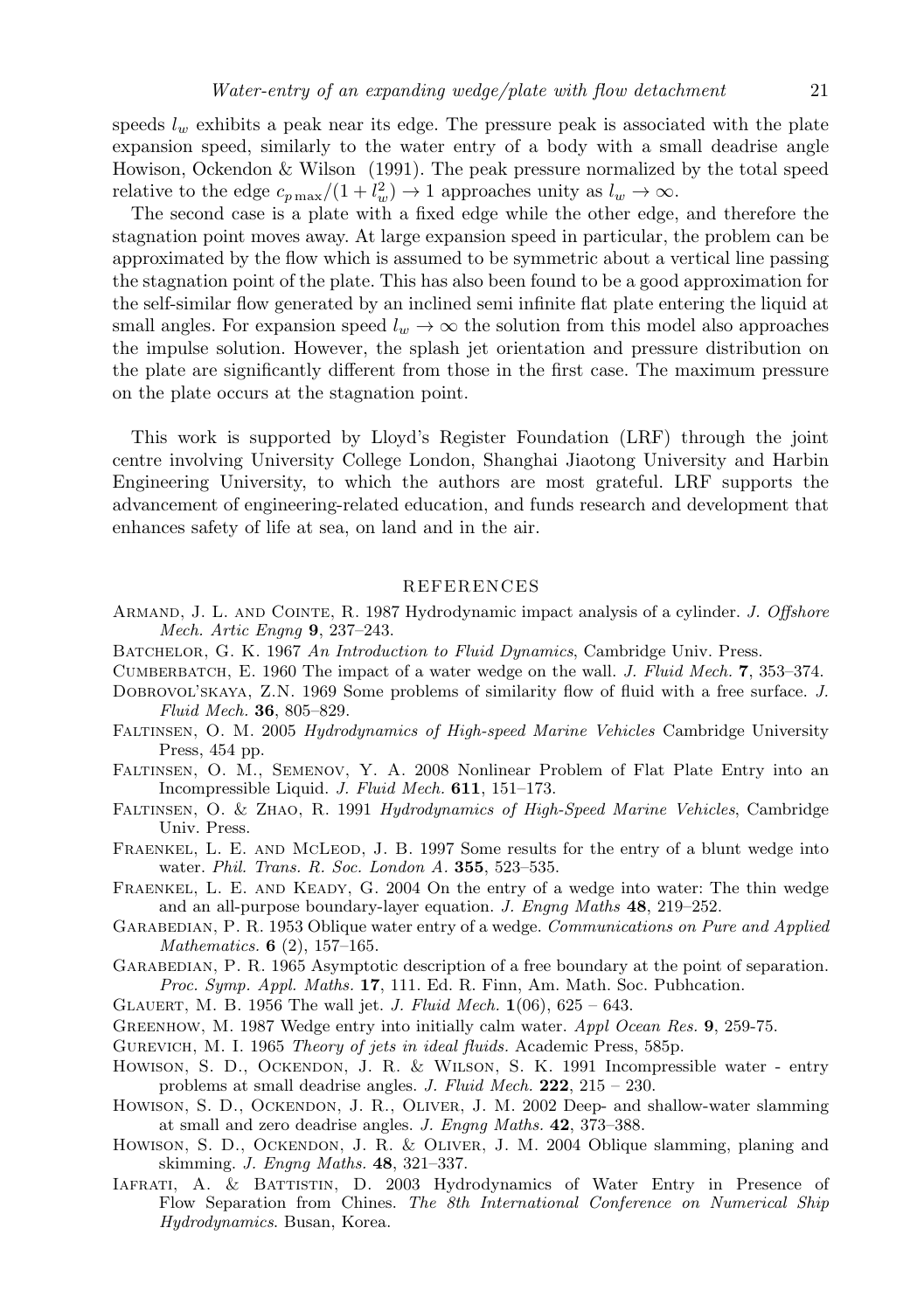speeds *l<sup>w</sup>* exhibits a peak near its edge. The pressure peak is associated with the plate expansion speed, similarly to the water entry of a body with a small deadrise angle Howison, Ockendon & Wilson (1991). The peak pressure normalized by the total speed relative to the edge  $c_{p \max}/(1 + l_w^2) \rightarrow 1$  approaches unity as  $l_w \rightarrow \infty$ .

The second case is a plate with a fixed edge while the other edge, and therefore the stagnation point moves away. At large expansion speed in particular, the problem can be approximated by the flow which is assumed to be symmetric about a vertical line passing the stagnation point of the plate. This has also been found to be a good approximation for the self-similar flow generated by an inclined semi infinite flat plate entering the liquid at small angles. For expansion speed  $l_w \rightarrow \infty$  the solution from this model also approaches the impulse solution. However, the splash jet orientation and pressure distribution on the plate are significantly different from those in the first case. The maximum pressure on the plate occurs at the stagnation point.

This work is supported by Lloyd's Register Foundation (LRF) through the joint centre involving University College London, Shanghai Jiaotong University and Harbin Engineering University, to which the authors are most grateful. LRF supports the advancement of engineering-related education, and funds research and development that enhances safety of life at sea, on land and in the air.

#### REFERENCES

- Armand, J. L. and Cointe, R. 1987 Hydrodynamic impact analysis of a cylinder. *J. Offshore Mech. Artic Engng* **9**, 237–243.
- Batchelor, G. K. 1967 *An Introduction to Fluid Dynamics*, Cambridge Univ. Press.
- Cumberbatch, E. 1960 The impact of a water wedge on the wall. *J. Fluid Mech.* **7**, 353–374.
- DOBROVOL'SKAYA, Z.N. 1969 Some problems of similarity flow of fluid with a free surface. *J. Fluid Mech.* **36**, 805–829.
- Faltinsen, O. M. 2005 *Hydrodynamics of High-speed Marine Vehicles* Cambridge University Press, 454 pp.
- Faltinsen, O. M., Semenov, Y. A. 2008 Nonlinear Problem of Flat Plate Entry into an Incompressible Liquid. *J. Fluid Mech.* **611**, 151–173.
- Faltinsen, O. & Zhao, R. 1991 *Hydrodynamics of High-Speed Marine Vehicles*, Cambridge Univ. Press.
- FRAENKEL, L. E. AND MCLEOD, J. B. 1997 Some results for the entry of a blunt wedge into water. *Phil. Trans. R. Soc. London A.* **355**, 523–535.
- FRAENKEL, L. E. AND KEADY, G. 2004 On the entry of a wedge into water: The thin wedge and an all-purpose boundary-layer equation. *J. Engng Maths* **48**, 219–252.
- GARABEDIAN, P. R. 1953 Oblique water entry of a wedge. *Communications on Pure and Applied Mathematics.* **6** (2), 157–165.
- GARABEDIAN, P. R. 1965 Asymptotic description of a free boundary at the point of separation. *Proc. Symp. Appl. Maths.* **17**, 111. Ed. R. Finn, Am. Math. Soc. Pubhcation.
- Glauert, M. B. 1956 The wall jet. *J. Fluid Mech.* **1**(06), 625 643.
- Greenhow, M. 1987 Wedge entry into initially calm water. *Appl Ocean Res.* **9**, 259-75.
- Gurevich, M. I. 1965 *Theory of jets in ideal fluids.* Academic Press, 585p.
- Howison, S. D., Ockendon, J. R. & Wilson, S. K. 1991 Incompressible water entry problems at small deadrise angles. *J. Fluid Mech.* **222**, 215 – 230.
- Howison, S. D., Ockendon, J. R., Oliver, J. M. 2002 Deep- and shallow-water slamming at small and zero deadrise angles. *J. Engng Maths.* **42**, 373–388.
- Howison, S. D., Ockendon, J. R. & Oliver, J. M. 2004 Oblique slamming, planing and skimming. *J. Engng Maths.* **48**, 321–337.
- Iafrati, A. & Battistin, D. 2003 Hydrodynamics of Water Entry in Presence of Flow Separation from Chines. *The 8th International Conference on Numerical Ship Hydrodynamics*. Busan, Korea.